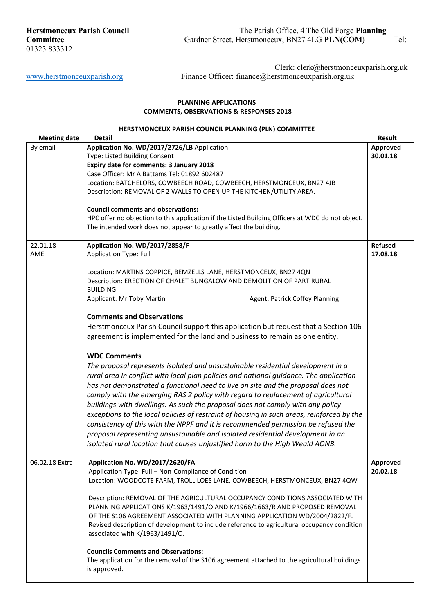# **PLANNING APPLICATIONS COMMENTS, OBSERVATIONS & RESPONSES 2018**

# **HERSTMONCEUX PARISH COUNCIL PLANNING (PLN) COMMITTEE**

| <b>Meeting date</b> | <b>Detail</b>                                                                                    | Result         |
|---------------------|--------------------------------------------------------------------------------------------------|----------------|
| By email            | Application No. WD/2017/2726/LB Application                                                      | Approved       |
|                     | Type: Listed Building Consent                                                                    | 30.01.18       |
|                     | Expiry date for comments: 3 January 2018                                                         |                |
|                     | Case Officer: Mr A Battams Tel: 01892 602487                                                     |                |
|                     | Location: BATCHELORS, COWBEECH ROAD, COWBEECH, HERSTMONCEUX, BN27 4JB                            |                |
|                     | Description: REMOVAL OF 2 WALLS TO OPEN UP THE KITCHEN/UTILITY AREA.                             |                |
|                     |                                                                                                  |                |
|                     | <b>Council comments and observations:</b>                                                        |                |
|                     | HPC offer no objection to this application if the Listed Building Officers at WDC do not object. |                |
|                     | The intended work does not appear to greatly affect the building.                                |                |
|                     |                                                                                                  |                |
| 22.01.18            | Application No. WD/2017/2858/F                                                                   | <b>Refused</b> |
| AME                 | <b>Application Type: Full</b>                                                                    | 17.08.18       |
|                     |                                                                                                  |                |
|                     | Location: MARTINS COPPICE, BEMZELLS LANE, HERSTMONCEUX, BN27 4QN                                 |                |
|                     | Description: ERECTION OF CHALET BUNGALOW AND DEMOLITION OF PART RURAL                            |                |
|                     | <b>BUILDING.</b>                                                                                 |                |
|                     | Applicant: Mr Toby Martin<br>Agent: Patrick Coffey Planning                                      |                |
|                     |                                                                                                  |                |
|                     | <b>Comments and Observations</b>                                                                 |                |
|                     | Herstmonceux Parish Council support this application but request that a Section 106              |                |
|                     | agreement is implemented for the land and business to remain as one entity.                      |                |
|                     |                                                                                                  |                |
|                     | <b>WDC Comments</b>                                                                              |                |
|                     | The proposal represents isolated and unsustainable residential development in a                  |                |
|                     | rural area in conflict with local plan policies and national guidance. The application           |                |
|                     | has not demonstrated a functional need to live on site and the proposal does not                 |                |
|                     |                                                                                                  |                |
|                     | comply with the emerging RAS 2 policy with regard to replacement of agricultural                 |                |
|                     | buildings with dwellings. As such the proposal does not comply with any policy                   |                |
|                     | exceptions to the local policies of restraint of housing in such areas, reinforced by the        |                |
|                     | consistency of this with the NPPF and it is recommended permission be refused the                |                |
|                     | proposal representing unsustainable and isolated residential development in an                   |                |
|                     | isolated rural location that causes unjustified harm to the High Weald AONB.                     |                |
|                     |                                                                                                  |                |
| 06.02.18 Extra      | Application No. WD/2017/2620/FA                                                                  | Approved       |
|                     | Application Type: Full - Non-Compliance of Condition                                             | 20.02.18       |
|                     | Location: WOODCOTE FARM, TROLLILOES LANE, COWBEECH, HERSTMONCEUX, BN27 4QW                       |                |
|                     |                                                                                                  |                |
|                     | Description: REMOVAL OF THE AGRICULTURAL OCCUPANCY CONDITIONS ASSOCIATED WITH                    |                |
|                     | PLANNING APPLICATIONS K/1963/1491/O AND K/1966/1663/R AND PROPOSED REMOVAL                       |                |
|                     | OF THE S106 AGREEMENT ASSOCIATED WITH PLANNING APPLICATION WD/2004/2822/F.                       |                |
|                     | Revised description of development to include reference to agricultural occupancy condition      |                |
|                     | associated with K/1963/1491/O.                                                                   |                |
|                     |                                                                                                  |                |
|                     | <b>Councils Comments and Observations:</b>                                                       |                |
|                     | The application for the removal of the S106 agreement attached to the agricultural buildings     |                |
|                     | is approved.                                                                                     |                |
|                     |                                                                                                  |                |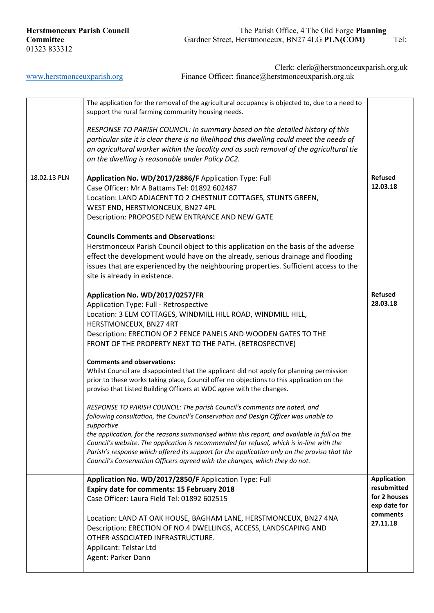|              | The application for the removal of the agricultural occupancy is objected to, due to a need to<br>support the rural farming community housing needs. |                          |
|--------------|------------------------------------------------------------------------------------------------------------------------------------------------------|--------------------------|
|              | RESPONSE TO PARISH COUNCIL: In summary based on the detailed history of this                                                                         |                          |
|              | particular site it is clear there is no likelihood this dwelling could meet the needs of                                                             |                          |
|              | an agricultural worker within the locality and as such removal of the agricultural tie                                                               |                          |
|              | on the dwelling is reasonable under Policy DC2.                                                                                                      |                          |
| 18.02.13 PLN | Application No. WD/2017/2886/F Application Type: Full                                                                                                | <b>Refused</b>           |
|              | Case Officer: Mr A Battams Tel: 01892 602487                                                                                                         | 12.03.18                 |
|              | Location: LAND ADJACENT TO 2 CHESTNUT COTTAGES, STUNTS GREEN,                                                                                        |                          |
|              | WEST END, HERSTMONCEUX, BN27 4PL                                                                                                                     |                          |
|              | Description: PROPOSED NEW ENTRANCE AND NEW GATE                                                                                                      |                          |
|              | <b>Councils Comments and Observations:</b>                                                                                                           |                          |
|              | Herstmonceux Parish Council object to this application on the basis of the adverse                                                                   |                          |
|              | effect the development would have on the already, serious drainage and flooding                                                                      |                          |
|              | issues that are experienced by the neighbouring properties. Sufficient access to the                                                                 |                          |
|              | site is already in existence.                                                                                                                        |                          |
|              | Application No. WD/2017/0257/FR                                                                                                                      | <b>Refused</b>           |
|              | Application Type: Full - Retrospective                                                                                                               | 28.03.18                 |
|              | Location: 3 ELM COTTAGES, WINDMILL HILL ROAD, WINDMILL HILL,                                                                                         |                          |
|              | HERSTMONCEUX, BN27 4RT                                                                                                                               |                          |
|              | Description: ERECTION OF 2 FENCE PANELS AND WOODEN GATES TO THE                                                                                      |                          |
|              | FRONT OF THE PROPERTY NEXT TO THE PATH. (RETROSPECTIVE)                                                                                              |                          |
|              | <b>Comments and observations:</b>                                                                                                                    |                          |
|              | Whilst Council are disappointed that the applicant did not apply for planning permission                                                             |                          |
|              | prior to these works taking place, Council offer no objections to this application on the                                                            |                          |
|              | proviso that Listed Building Officers at WDC agree with the changes.                                                                                 |                          |
|              | RESPONSE TO PARISH COUNCIL: The parish Council's comments are noted, and                                                                             |                          |
|              | following consultation, the Council's Conservation and Design Officer was unable to                                                                  |                          |
|              | supportive<br>the application, for the reasons summarised within this report, and available in full on the                                           |                          |
|              | Council's website. The application is recommended for refusal, which is in-line with the                                                             |                          |
|              | Parish's response which offered its support for the application only on the proviso that the                                                         |                          |
|              | Council's Conservation Officers agreed with the changes, which they do not.                                                                          |                          |
|              | Application No. WD/2017/2850/F Application Type: Full                                                                                                | <b>Application</b>       |
|              | Expiry date for comments: 15 February 2018                                                                                                           | resubmitted              |
|              | Case Officer: Laura Field Tel: 01892 602515                                                                                                          | for 2 houses             |
|              |                                                                                                                                                      | exp date for<br>comments |
|              | Location: LAND AT OAK HOUSE, BAGHAM LANE, HERSTMONCEUX, BN27 4NA                                                                                     | 27.11.18                 |
|              | Description: ERECTION OF NO.4 DWELLINGS, ACCESS, LANDSCAPING AND                                                                                     |                          |
|              | OTHER ASSOCIATED INFRASTRUCTURE.<br>Applicant: Telstar Ltd                                                                                           |                          |
|              | Agent: Parker Dann                                                                                                                                   |                          |
|              |                                                                                                                                                      |                          |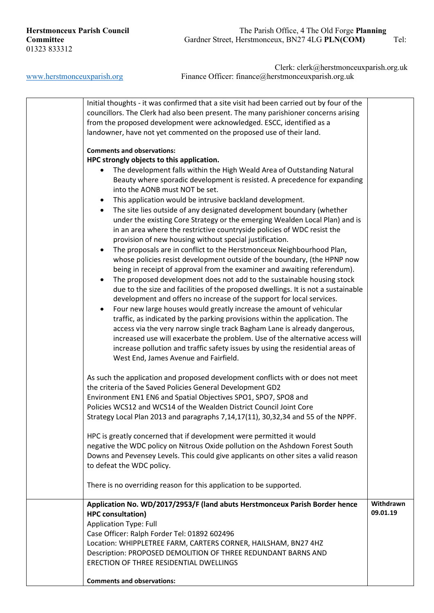# **Herstmonceux Parish Council** The Parish Office, 4 The Old Forge **Planning**<br> **Committee** Gardner Street, Herstmonceux, BN27 4LG **PLN(COM)** Gardner Street, Herstmonceux, BN27 4LG **PLN(COM)** Tel:

| Initial thoughts - it was confirmed that a site visit had been carried out by four of the<br>councillors. The Clerk had also been present. The many parishioner concerns arising<br>from the proposed development were acknowledged. ESCC, identified as a<br>landowner, have not yet commented on the proposed use of their land.<br><b>Comments and observations:</b><br>HPC strongly objects to this application.<br>The development falls within the High Weald Area of Outstanding Natural<br>Beauty where sporadic development is resisted. A precedence for expanding<br>into the AONB must NOT be set.<br>This application would be intrusive backland development.<br>$\bullet$<br>The site lies outside of any designated development boundary (whether<br>$\bullet$<br>under the existing Core Strategy or the emerging Wealden Local Plan) and is<br>in an area where the restrictive countryside policies of WDC resist the<br>provision of new housing without special justification.<br>The proposals are in conflict to the Herstmonceux Neighbourhood Plan,<br>$\bullet$<br>whose policies resist development outside of the boundary, (the HPNP now<br>being in receipt of approval from the examiner and awaiting referendum).<br>The proposed development does not add to the sustainable housing stock<br>$\bullet$<br>due to the size and facilities of the proposed dwellings. It is not a sustainable<br>development and offers no increase of the support for local services.<br>Four new large houses would greatly increase the amount of vehicular<br>$\bullet$<br>traffic, as indicated by the parking provisions within the application. The<br>access via the very narrow single track Bagham Lane is already dangerous,<br>increased use will exacerbate the problem. Use of the alternative access will<br>increase pollution and traffic safety issues by using the residential areas of<br>West End, James Avenue and Fairfield.<br>As such the application and proposed development conflicts with or does not meet<br>the criteria of the Saved Policies General Development GD2<br>Environment EN1 EN6 and Spatial Objectives SPO1, SPO7, SPO8 and<br>Policies WCS12 and WCS14 of the Wealden District Council Joint Core<br>Strategy Local Plan 2013 and paragraphs 7,14,17(11), 30,32,34 and 55 of the NPPF.<br>HPC is greatly concerned that if development were permitted it would<br>negative the WDC policy on Nitrous Oxide pollution on the Ashdown Forest South<br>Downs and Pevensey Levels. This could give applicants on other sites a valid reason<br>to defeat the WDC policy. |                                                                     |  |
|------------------------------------------------------------------------------------------------------------------------------------------------------------------------------------------------------------------------------------------------------------------------------------------------------------------------------------------------------------------------------------------------------------------------------------------------------------------------------------------------------------------------------------------------------------------------------------------------------------------------------------------------------------------------------------------------------------------------------------------------------------------------------------------------------------------------------------------------------------------------------------------------------------------------------------------------------------------------------------------------------------------------------------------------------------------------------------------------------------------------------------------------------------------------------------------------------------------------------------------------------------------------------------------------------------------------------------------------------------------------------------------------------------------------------------------------------------------------------------------------------------------------------------------------------------------------------------------------------------------------------------------------------------------------------------------------------------------------------------------------------------------------------------------------------------------------------------------------------------------------------------------------------------------------------------------------------------------------------------------------------------------------------------------------------------------------------------------------------------------------------------------------------------------------------------------------------------------------------------------------------------------------------------------------------------------------------------------------------------------------------------------------------------------------------------------------------------------------------------------------------------------------------------------------------------------------------------------------------------------------------------|---------------------------------------------------------------------|--|
|                                                                                                                                                                                                                                                                                                                                                                                                                                                                                                                                                                                                                                                                                                                                                                                                                                                                                                                                                                                                                                                                                                                                                                                                                                                                                                                                                                                                                                                                                                                                                                                                                                                                                                                                                                                                                                                                                                                                                                                                                                                                                                                                                                                                                                                                                                                                                                                                                                                                                                                                                                                                                                    |                                                                     |  |
|                                                                                                                                                                                                                                                                                                                                                                                                                                                                                                                                                                                                                                                                                                                                                                                                                                                                                                                                                                                                                                                                                                                                                                                                                                                                                                                                                                                                                                                                                                                                                                                                                                                                                                                                                                                                                                                                                                                                                                                                                                                                                                                                                                                                                                                                                                                                                                                                                                                                                                                                                                                                                                    |                                                                     |  |
|                                                                                                                                                                                                                                                                                                                                                                                                                                                                                                                                                                                                                                                                                                                                                                                                                                                                                                                                                                                                                                                                                                                                                                                                                                                                                                                                                                                                                                                                                                                                                                                                                                                                                                                                                                                                                                                                                                                                                                                                                                                                                                                                                                                                                                                                                                                                                                                                                                                                                                                                                                                                                                    |                                                                     |  |
|                                                                                                                                                                                                                                                                                                                                                                                                                                                                                                                                                                                                                                                                                                                                                                                                                                                                                                                                                                                                                                                                                                                                                                                                                                                                                                                                                                                                                                                                                                                                                                                                                                                                                                                                                                                                                                                                                                                                                                                                                                                                                                                                                                                                                                                                                                                                                                                                                                                                                                                                                                                                                                    |                                                                     |  |
|                                                                                                                                                                                                                                                                                                                                                                                                                                                                                                                                                                                                                                                                                                                                                                                                                                                                                                                                                                                                                                                                                                                                                                                                                                                                                                                                                                                                                                                                                                                                                                                                                                                                                                                                                                                                                                                                                                                                                                                                                                                                                                                                                                                                                                                                                                                                                                                                                                                                                                                                                                                                                                    |                                                                     |  |
|                                                                                                                                                                                                                                                                                                                                                                                                                                                                                                                                                                                                                                                                                                                                                                                                                                                                                                                                                                                                                                                                                                                                                                                                                                                                                                                                                                                                                                                                                                                                                                                                                                                                                                                                                                                                                                                                                                                                                                                                                                                                                                                                                                                                                                                                                                                                                                                                                                                                                                                                                                                                                                    |                                                                     |  |
|                                                                                                                                                                                                                                                                                                                                                                                                                                                                                                                                                                                                                                                                                                                                                                                                                                                                                                                                                                                                                                                                                                                                                                                                                                                                                                                                                                                                                                                                                                                                                                                                                                                                                                                                                                                                                                                                                                                                                                                                                                                                                                                                                                                                                                                                                                                                                                                                                                                                                                                                                                                                                                    |                                                                     |  |
|                                                                                                                                                                                                                                                                                                                                                                                                                                                                                                                                                                                                                                                                                                                                                                                                                                                                                                                                                                                                                                                                                                                                                                                                                                                                                                                                                                                                                                                                                                                                                                                                                                                                                                                                                                                                                                                                                                                                                                                                                                                                                                                                                                                                                                                                                                                                                                                                                                                                                                                                                                                                                                    |                                                                     |  |
|                                                                                                                                                                                                                                                                                                                                                                                                                                                                                                                                                                                                                                                                                                                                                                                                                                                                                                                                                                                                                                                                                                                                                                                                                                                                                                                                                                                                                                                                                                                                                                                                                                                                                                                                                                                                                                                                                                                                                                                                                                                                                                                                                                                                                                                                                                                                                                                                                                                                                                                                                                                                                                    | There is no overriding reason for this application to be supported. |  |
| Application No. WD/2017/2953/F (land abuts Herstmonceux Parish Border hence<br>Withdrawn                                                                                                                                                                                                                                                                                                                                                                                                                                                                                                                                                                                                                                                                                                                                                                                                                                                                                                                                                                                                                                                                                                                                                                                                                                                                                                                                                                                                                                                                                                                                                                                                                                                                                                                                                                                                                                                                                                                                                                                                                                                                                                                                                                                                                                                                                                                                                                                                                                                                                                                                           |                                                                     |  |
| 09.01.19<br><b>HPC</b> consultation)                                                                                                                                                                                                                                                                                                                                                                                                                                                                                                                                                                                                                                                                                                                                                                                                                                                                                                                                                                                                                                                                                                                                                                                                                                                                                                                                                                                                                                                                                                                                                                                                                                                                                                                                                                                                                                                                                                                                                                                                                                                                                                                                                                                                                                                                                                                                                                                                                                                                                                                                                                                               |                                                                     |  |
| <b>Application Type: Full</b>                                                                                                                                                                                                                                                                                                                                                                                                                                                                                                                                                                                                                                                                                                                                                                                                                                                                                                                                                                                                                                                                                                                                                                                                                                                                                                                                                                                                                                                                                                                                                                                                                                                                                                                                                                                                                                                                                                                                                                                                                                                                                                                                                                                                                                                                                                                                                                                                                                                                                                                                                                                                      |                                                                     |  |
| Case Officer: Ralph Forder Tel: 01892 602496                                                                                                                                                                                                                                                                                                                                                                                                                                                                                                                                                                                                                                                                                                                                                                                                                                                                                                                                                                                                                                                                                                                                                                                                                                                                                                                                                                                                                                                                                                                                                                                                                                                                                                                                                                                                                                                                                                                                                                                                                                                                                                                                                                                                                                                                                                                                                                                                                                                                                                                                                                                       |                                                                     |  |
| Location: WHIPPLETREE FARM, CARTERS CORNER, HAILSHAM, BN27 4HZ                                                                                                                                                                                                                                                                                                                                                                                                                                                                                                                                                                                                                                                                                                                                                                                                                                                                                                                                                                                                                                                                                                                                                                                                                                                                                                                                                                                                                                                                                                                                                                                                                                                                                                                                                                                                                                                                                                                                                                                                                                                                                                                                                                                                                                                                                                                                                                                                                                                                                                                                                                     |                                                                     |  |
| Description: PROPOSED DEMOLITION OF THREE REDUNDANT BARNS AND<br>ERECTION OF THREE RESIDENTIAL DWELLINGS                                                                                                                                                                                                                                                                                                                                                                                                                                                                                                                                                                                                                                                                                                                                                                                                                                                                                                                                                                                                                                                                                                                                                                                                                                                                                                                                                                                                                                                                                                                                                                                                                                                                                                                                                                                                                                                                                                                                                                                                                                                                                                                                                                                                                                                                                                                                                                                                                                                                                                                           |                                                                     |  |
| <b>Comments and observations:</b>                                                                                                                                                                                                                                                                                                                                                                                                                                                                                                                                                                                                                                                                                                                                                                                                                                                                                                                                                                                                                                                                                                                                                                                                                                                                                                                                                                                                                                                                                                                                                                                                                                                                                                                                                                                                                                                                                                                                                                                                                                                                                                                                                                                                                                                                                                                                                                                                                                                                                                                                                                                                  |                                                                     |  |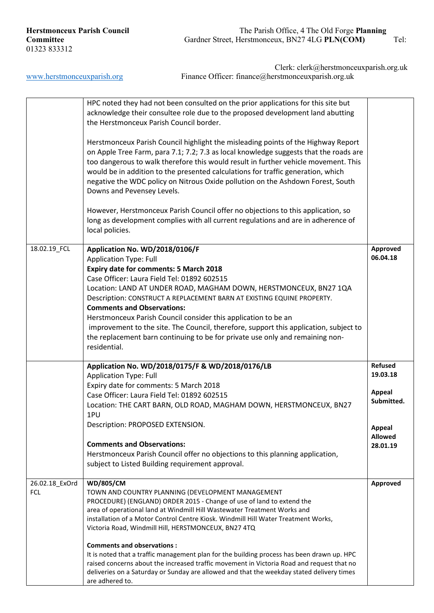|                | HPC noted they had not been consulted on the prior applications for this site but<br>acknowledge their consultee role due to the proposed development land abutting<br>the Herstmonceux Parish Council border.                                                                                                                                                                                                                                                         |                      |
|----------------|------------------------------------------------------------------------------------------------------------------------------------------------------------------------------------------------------------------------------------------------------------------------------------------------------------------------------------------------------------------------------------------------------------------------------------------------------------------------|----------------------|
|                | Herstmonceux Parish Council highlight the misleading points of the Highway Report<br>on Apple Tree Farm, para 7.1; 7.2; 7.3 as local knowledge suggests that the roads are<br>too dangerous to walk therefore this would result in further vehicle movement. This<br>would be in addition to the presented calculations for traffic generation, which<br>negative the WDC policy on Nitrous Oxide pollution on the Ashdown Forest, South<br>Downs and Pevensey Levels. |                      |
|                | However, Herstmonceux Parish Council offer no objections to this application, so<br>long as development complies with all current regulations and are in adherence of<br>local policies.                                                                                                                                                                                                                                                                               |                      |
| 18.02.19_FCL   | Application No. WD/2018/0106/F                                                                                                                                                                                                                                                                                                                                                                                                                                         | Approved<br>06.04.18 |
|                | <b>Application Type: Full</b><br><b>Expiry date for comments: 5 March 2018</b>                                                                                                                                                                                                                                                                                                                                                                                         |                      |
|                | Case Officer: Laura Field Tel: 01892 602515                                                                                                                                                                                                                                                                                                                                                                                                                            |                      |
|                | Location: LAND AT UNDER ROAD, MAGHAM DOWN, HERSTMONCEUX, BN27 1QA                                                                                                                                                                                                                                                                                                                                                                                                      |                      |
|                | Description: CONSTRUCT A REPLACEMENT BARN AT EXISTING EQUINE PROPERTY.<br><b>Comments and Observations:</b>                                                                                                                                                                                                                                                                                                                                                            |                      |
|                | Herstmonceux Parish Council consider this application to be an                                                                                                                                                                                                                                                                                                                                                                                                         |                      |
|                | improvement to the site. The Council, therefore, support this application, subject to                                                                                                                                                                                                                                                                                                                                                                                  |                      |
|                | the replacement barn continuing to be for private use only and remaining non-                                                                                                                                                                                                                                                                                                                                                                                          |                      |
|                | residential.                                                                                                                                                                                                                                                                                                                                                                                                                                                           |                      |
|                | Application No. WD/2018/0175/F & WD/2018/0176/LB                                                                                                                                                                                                                                                                                                                                                                                                                       | Refused              |
|                | <b>Application Type: Full</b>                                                                                                                                                                                                                                                                                                                                                                                                                                          | 19.03.18             |
|                | Expiry date for comments: 5 March 2018                                                                                                                                                                                                                                                                                                                                                                                                                                 | <b>Appeal</b>        |
|                | Case Officer: Laura Field Tel: 01892 602515<br>Location: THE CART BARN, OLD ROAD, MAGHAM DOWN, HERSTMONCEUX, BN27                                                                                                                                                                                                                                                                                                                                                      | Submitted.           |
|                | 1PU                                                                                                                                                                                                                                                                                                                                                                                                                                                                    |                      |
|                | Description: PROPOSED EXTENSION.                                                                                                                                                                                                                                                                                                                                                                                                                                       | <b>Appeal</b>        |
|                | <b>Comments and Observations:</b>                                                                                                                                                                                                                                                                                                                                                                                                                                      | <b>Allowed</b>       |
|                | Herstmonceux Parish Council offer no objections to this planning application,                                                                                                                                                                                                                                                                                                                                                                                          | 28.01.19             |
|                | subject to Listed Building requirement approval.                                                                                                                                                                                                                                                                                                                                                                                                                       |                      |
| 26.02.18_ExOrd | <b>WD/805/CM</b>                                                                                                                                                                                                                                                                                                                                                                                                                                                       | Approved             |
| FCL            | TOWN AND COUNTRY PLANNING (DEVELOPMENT MANAGEMENT                                                                                                                                                                                                                                                                                                                                                                                                                      |                      |
|                | PROCEDURE) (ENGLAND) ORDER 2015 - Change of use of land to extend the<br>area of operational land at Windmill Hill Wastewater Treatment Works and                                                                                                                                                                                                                                                                                                                      |                      |
|                | installation of a Motor Control Centre Kiosk. Windmill Hill Water Treatment Works,                                                                                                                                                                                                                                                                                                                                                                                     |                      |
|                | Victoria Road, Windmill Hill, HERSTMONCEUX, BN27 4TQ                                                                                                                                                                                                                                                                                                                                                                                                                   |                      |
|                | <b>Comments and observations:</b>                                                                                                                                                                                                                                                                                                                                                                                                                                      |                      |
|                | It is noted that a traffic management plan for the building process has been drawn up. HPC                                                                                                                                                                                                                                                                                                                                                                             |                      |
|                | raised concerns about the increased traffic movement in Victoria Road and request that no<br>deliveries on a Saturday or Sunday are allowed and that the weekday stated delivery times                                                                                                                                                                                                                                                                                 |                      |
|                | are adhered to.                                                                                                                                                                                                                                                                                                                                                                                                                                                        |                      |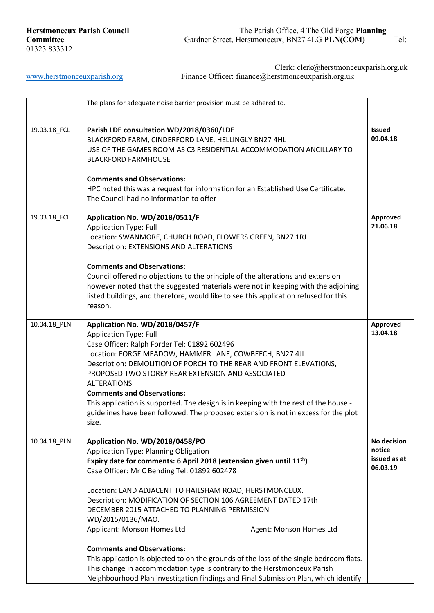|              | The plans for adequate noise barrier provision must be adhered to.                                                                                                                                                                                                                                                                                                                                                                                                                                                                                                                                                                                                                                                                                                |                                                   |
|--------------|-------------------------------------------------------------------------------------------------------------------------------------------------------------------------------------------------------------------------------------------------------------------------------------------------------------------------------------------------------------------------------------------------------------------------------------------------------------------------------------------------------------------------------------------------------------------------------------------------------------------------------------------------------------------------------------------------------------------------------------------------------------------|---------------------------------------------------|
| 19.03.18_FCL | Parish LDE consultation WD/2018/0360/LDE<br>BLACKFORD FARM, CINDERFORD LANE, HELLINGLY BN27 4HL<br>USE OF THE GAMES ROOM AS C3 RESIDENTIAL ACCOMMODATION ANCILLARY TO<br><b>BLACKFORD FARMHOUSE</b><br><b>Comments and Observations:</b><br>HPC noted this was a request for information for an Established Use Certificate.<br>The Council had no information to offer                                                                                                                                                                                                                                                                                                                                                                                           | <b>Issued</b><br>09.04.18                         |
| 19.03.18_FCL | Application No. WD/2018/0511/F<br><b>Application Type: Full</b><br>Location: SWANMORE, CHURCH ROAD, FLOWERS GREEN, BN27 1RJ<br>Description: EXTENSIONS AND ALTERATIONS<br><b>Comments and Observations:</b><br>Council offered no objections to the principle of the alterations and extension<br>however noted that the suggested materials were not in keeping with the adjoining<br>listed buildings, and therefore, would like to see this application refused for this<br>reason.                                                                                                                                                                                                                                                                            | Approved<br>21.06.18                              |
| 10.04.18_PLN | Application No. WD/2018/0457/F<br><b>Application Type: Full</b><br>Case Officer: Ralph Forder Tel: 01892 602496<br>Location: FORGE MEADOW, HAMMER LANE, COWBEECH, BN27 4JL<br>Description: DEMOLITION OF PORCH TO THE REAR AND FRONT ELEVATIONS,<br>PROPOSED TWO STOREY REAR EXTENSION AND ASSOCIATED<br><b>ALTERATIONS</b><br><b>Comments and Observations:</b><br>This application is supported. The design is in keeping with the rest of the house -<br>guidelines have been followed. The proposed extension is not in excess for the plot<br>size.                                                                                                                                                                                                          | Approved<br>13.04.18                              |
| 10.04.18_PLN | Application No. WD/2018/0458/PO<br>Application Type: Planning Obligation<br>Expiry date for comments: 6 April 2018 (extension given until $11th$ )<br>Case Officer: Mr C Bending Tel: 01892 602478<br>Location: LAND ADJACENT TO HAILSHAM ROAD, HERSTMONCEUX.<br>Description: MODIFICATION OF SECTION 106 AGREEMENT DATED 17th<br>DECEMBER 2015 ATTACHED TO PLANNING PERMISSION<br>WD/2015/0136/MAO.<br>Applicant: Monson Homes Ltd<br>Agent: Monson Homes Ltd<br><b>Comments and Observations:</b><br>This application is objected to on the grounds of the loss of the single bedroom flats.<br>This change in accommodation type is contrary to the Herstmonceux Parish<br>Neighbourhood Plan investigation findings and Final Submission Plan, which identify | No decision<br>notice<br>issued as at<br>06.03.19 |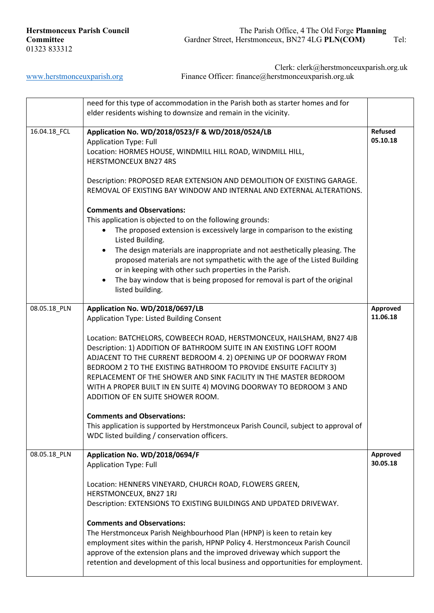|              | need for this type of accommodation in the Parish both as starter homes and for<br>elder residents wishing to downsize and remain in the vicinity.                                                                                                                                                                                                                                                                                                                                                                                                                                                                                                                                                                                 |                            |
|--------------|------------------------------------------------------------------------------------------------------------------------------------------------------------------------------------------------------------------------------------------------------------------------------------------------------------------------------------------------------------------------------------------------------------------------------------------------------------------------------------------------------------------------------------------------------------------------------------------------------------------------------------------------------------------------------------------------------------------------------------|----------------------------|
| 16.04.18_FCL | Application No. WD/2018/0523/F & WD/2018/0524/LB<br><b>Application Type: Full</b><br>Location: HORMES HOUSE, WINDMILL HILL ROAD, WINDMILL HILL,<br><b>HERSTMONCEUX BN27 4RS</b><br>Description: PROPOSED REAR EXTENSION AND DEMOLITION OF EXISTING GARAGE.<br>REMOVAL OF EXISTING BAY WINDOW AND INTERNAL AND EXTERNAL ALTERATIONS.                                                                                                                                                                                                                                                                                                                                                                                                | <b>Refused</b><br>05.10.18 |
|              | <b>Comments and Observations:</b><br>This application is objected to on the following grounds:<br>The proposed extension is excessively large in comparison to the existing<br>Listed Building.<br>The design materials are inappropriate and not aesthetically pleasing. The<br>proposed materials are not sympathetic with the age of the Listed Building<br>or in keeping with other such properties in the Parish.<br>The bay window that is being proposed for removal is part of the original<br>listed building.                                                                                                                                                                                                            |                            |
| 08.05.18_PLN | Application No. WD/2018/0697/LB<br>Application Type: Listed Building Consent<br>Location: BATCHELORS, COWBEECH ROAD, HERSTMONCEUX, HAILSHAM, BN27 4JB<br>Description: 1) ADDITION OF BATHROOM SUITE IN AN EXISTING LOFT ROOM<br>ADJACENT TO THE CURRENT BEDROOM 4. 2) OPENING UP OF DOORWAY FROM<br>BEDROOM 2 TO THE EXISTING BATHROOM TO PROVIDE ENSUITE FACILITY 3)<br>REPLACEMENT OF THE SHOWER AND SINK FACILITY IN THE MASTER BEDROOM<br>WITH A PROPER BUILT IN EN SUITE 4) MOVING DOORWAY TO BEDROOM 3 AND<br>ADDITION OF EN SUITE SHOWER ROOM.<br><b>Comments and Observations:</b><br>This application is supported by Herstmonceux Parish Council, subject to approval of<br>WDC listed building / conservation officers. | Approved<br>11.06.18       |
| 08.05.18_PLN | Application No. WD/2018/0694/F<br><b>Application Type: Full</b><br>Location: HENNERS VINEYARD, CHURCH ROAD, FLOWERS GREEN,<br>HERSTMONCEUX, BN27 1RJ<br>Description: EXTENSIONS TO EXISTING BUILDINGS AND UPDATED DRIVEWAY.<br><b>Comments and Observations:</b><br>The Herstmonceux Parish Neighbourhood Plan (HPNP) is keen to retain key<br>employment sites within the parish, HPNP Policy 4. Herstmonceux Parish Council<br>approve of the extension plans and the improved driveway which support the                                                                                                                                                                                                                        | Approved<br>30.05.18       |
|              | retention and development of this local business and opportunities for employment.                                                                                                                                                                                                                                                                                                                                                                                                                                                                                                                                                                                                                                                 |                            |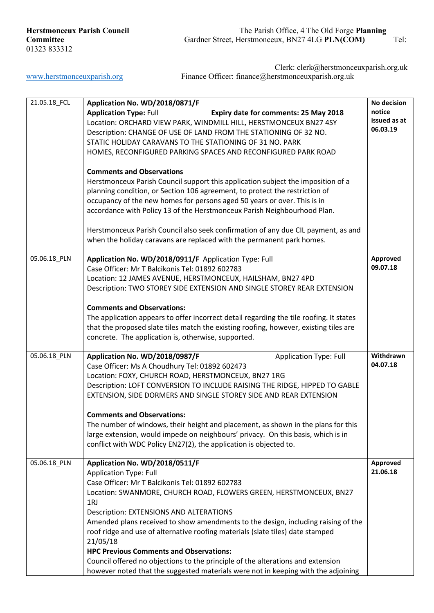| 21.05.18_FCL | Application No. WD/2018/0871/F                                                          | No decision  |
|--------------|-----------------------------------------------------------------------------------------|--------------|
|              | <b>Application Type: Full</b><br>Expiry date for comments: 25 May 2018                  | notice       |
|              | Location: ORCHARD VIEW PARK, WINDMILL HILL, HERSTMONCEUX BN27 4SY                       | issued as at |
|              |                                                                                         | 06.03.19     |
|              | Description: CHANGE OF USE OF LAND FROM THE STATIONING OF 32 NO.                        |              |
|              | STATIC HOLIDAY CARAVANS TO THE STATIONING OF 31 NO. PARK                                |              |
|              | HOMES, RECONFIGURED PARKING SPACES AND RECONFIGURED PARK ROAD                           |              |
|              |                                                                                         |              |
|              |                                                                                         |              |
|              | <b>Comments and Observations</b>                                                        |              |
|              | Herstmonceux Parish Council support this application subject the imposition of a        |              |
|              | planning condition, or Section 106 agreement, to protect the restriction of             |              |
|              | occupancy of the new homes for persons aged 50 years or over. This is in                |              |
|              |                                                                                         |              |
|              | accordance with Policy 13 of the Herstmonceux Parish Neighbourhood Plan.                |              |
|              |                                                                                         |              |
|              | Herstmonceux Parish Council also seek confirmation of any due CIL payment, as and       |              |
|              | when the holiday caravans are replaced with the permanent park homes.                   |              |
|              |                                                                                         |              |
|              |                                                                                         |              |
| 05.06.18_PLN | Application No. WD/2018/0911/F Application Type: Full                                   | Approved     |
|              | Case Officer: Mr T Balcikonis Tel: 01892 602783                                         | 09.07.18     |
|              | Location: 12 JAMES AVENUE, HERSTMONCEUX, HAILSHAM, BN27 4PD                             |              |
|              | Description: TWO STOREY SIDE EXTENSION AND SINGLE STOREY REAR EXTENSION                 |              |
|              |                                                                                         |              |
|              |                                                                                         |              |
|              | <b>Comments and Observations:</b>                                                       |              |
|              | The application appears to offer incorrect detail regarding the tile roofing. It states |              |
|              | that the proposed slate tiles match the existing roofing, however, existing tiles are   |              |
|              | concrete. The application is, otherwise, supported.                                     |              |
|              |                                                                                         |              |
|              |                                                                                         | Withdrawn    |
| 05.06.18_PLN | Application No. WD/2018/0987/F<br><b>Application Type: Full</b>                         |              |
|              | Case Officer: Ms A Choudhury Tel: 01892 602473                                          | 04.07.18     |
|              | Location: FOXY, CHURCH ROAD, HERSTMONCEUX, BN27 1RG                                     |              |
|              | Description: LOFT CONVERSION TO INCLUDE RAISING THE RIDGE, HIPPED TO GABLE              |              |
|              |                                                                                         |              |
|              | EXTENSION, SIDE DORMERS AND SINGLE STOREY SIDE AND REAR EXTENSION                       |              |
|              |                                                                                         |              |
|              | <b>Comments and Observations:</b>                                                       |              |
|              | The number of windows, their height and placement, as shown in the plans for this       |              |
|              | large extension, would impede on neighbours' privacy. On this basis, which is in        |              |
|              | conflict with WDC Policy EN27(2), the application is objected to.                       |              |
|              |                                                                                         |              |
|              |                                                                                         |              |
| 05.06.18_PLN | Application No. WD/2018/0511/F                                                          | Approved     |
|              | <b>Application Type: Full</b>                                                           | 21.06.18     |
|              | Case Officer: Mr T Balcikonis Tel: 01892 602783                                         |              |
|              | Location: SWANMORE, CHURCH ROAD, FLOWERS GREEN, HERSTMONCEUX, BN27                      |              |
|              |                                                                                         |              |
|              | 1RJ                                                                                     |              |
|              | <b>Description: EXTENSIONS AND ALTERATIONS</b>                                          |              |
|              | Amended plans received to show amendments to the design, including raising of the       |              |
|              | roof ridge and use of alternative roofing materials (slate tiles) date stamped          |              |
|              |                                                                                         |              |
|              | 21/05/18                                                                                |              |
|              | <b>HPC Previous Comments and Observations:</b>                                          |              |
|              | Council offered no objections to the principle of the alterations and extension         |              |
|              | however noted that the suggested materials were not in keeping with the adjoining       |              |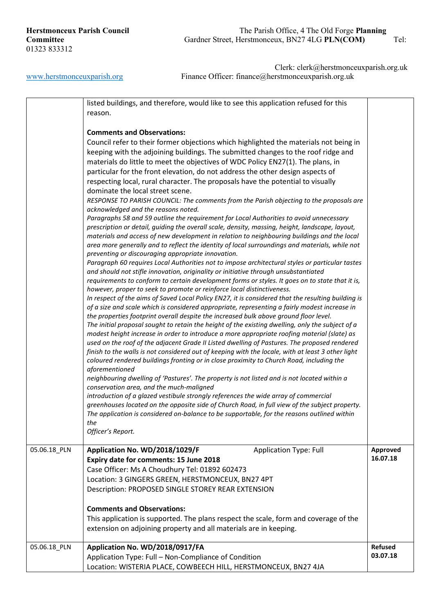|              | listed buildings, and therefore, would like to see this application refused for this<br>reason.                                                                                                                                                                                                                                                                                                                                                                                                                                                                                                                                                                                                                                                                                                                                                                                                                                                                                                                                                                                                                                                                                                                                                                                                                                                                                                                                                                                                                                                                                                                                                                                                                                                                                                                                                                                                                                                                                                                                                                                                                                                                                                                                                                                                                                                                                                                                                                                                                                                                                                                                     |                            |
|--------------|-------------------------------------------------------------------------------------------------------------------------------------------------------------------------------------------------------------------------------------------------------------------------------------------------------------------------------------------------------------------------------------------------------------------------------------------------------------------------------------------------------------------------------------------------------------------------------------------------------------------------------------------------------------------------------------------------------------------------------------------------------------------------------------------------------------------------------------------------------------------------------------------------------------------------------------------------------------------------------------------------------------------------------------------------------------------------------------------------------------------------------------------------------------------------------------------------------------------------------------------------------------------------------------------------------------------------------------------------------------------------------------------------------------------------------------------------------------------------------------------------------------------------------------------------------------------------------------------------------------------------------------------------------------------------------------------------------------------------------------------------------------------------------------------------------------------------------------------------------------------------------------------------------------------------------------------------------------------------------------------------------------------------------------------------------------------------------------------------------------------------------------------------------------------------------------------------------------------------------------------------------------------------------------------------------------------------------------------------------------------------------------------------------------------------------------------------------------------------------------------------------------------------------------------------------------------------------------------------------------------------------------|----------------------------|
|              | <b>Comments and Observations:</b><br>Council refer to their former objections which highlighted the materials not being in<br>keeping with the adjoining buildings. The submitted changes to the roof ridge and<br>materials do little to meet the objectives of WDC Policy EN27(1). The plans, in<br>particular for the front elevation, do not address the other design aspects of<br>respecting local, rural character. The proposals have the potential to visually<br>dominate the local street scene.<br>RESPONSE TO PARISH COUNCIL: The comments from the Parish objecting to the proposals are<br>acknowledged and the reasons noted.<br>Paragraphs 58 and 59 outline the requirement for Local Authorities to avoid unnecessary<br>prescription or detail, guiding the overall scale, density, massing, height, landscape, layout,<br>materials and access of new development in relation to neighbouring buildings and the local<br>area more generally and to reflect the identity of local surroundings and materials, while not<br>preventing or discouraging appropriate innovation.<br>Paragraph 60 requires Local Authorities not to impose architectural styles or particular tastes<br>and should not stifle innovation, originality or initiative through unsubstantiated<br>requirements to conform to certain development forms or styles. It goes on to state that it is,<br>however, proper to seek to promote or reinforce local distinctiveness.<br>In respect of the aims of Saved Local Policy EN27, it is considered that the resulting building is<br>of a size and scale which is considered appropriate, representing a fairly modest increase in<br>the properties footprint overall despite the increased bulk above ground floor level.<br>The initial proposal sought to retain the height of the existing dwelling, only the subject of a<br>modest height increase in order to introduce a more appropriate roofing material (slate) as<br>used on the roof of the adjacent Grade II Listed dwelling of Pastures. The proposed rendered<br>finish to the walls is not considered out of keeping with the locale, with at least 3 other light<br>coloured rendered buildings fronting or in close proximity to Church Road, including the<br>aforementioned<br>neighbouring dwelling of 'Pastures'. The property is not listed and is not located within a<br>conservation area, and the much-maligned<br>introduction of a glazed vestibule strongly references the wide array of commercial<br>greenhouses located on the opposite side of Church Road, in full view of the subject property. |                            |
|              | The application is considered on-balance to be supportable, for the reasons outlined within<br>the<br>Officer's Report.                                                                                                                                                                                                                                                                                                                                                                                                                                                                                                                                                                                                                                                                                                                                                                                                                                                                                                                                                                                                                                                                                                                                                                                                                                                                                                                                                                                                                                                                                                                                                                                                                                                                                                                                                                                                                                                                                                                                                                                                                                                                                                                                                                                                                                                                                                                                                                                                                                                                                                             |                            |
| 05.06.18_PLN | <b>Application Type: Full</b><br>Application No. WD/2018/1029/F<br>Expiry date for comments: 15 June 2018<br>Case Officer: Ms A Choudhury Tel: 01892 602473<br>Location: 3 GINGERS GREEN, HERSTMONCEUX, BN27 4PT<br>Description: PROPOSED SINGLE STOREY REAR EXTENSION<br><b>Comments and Observations:</b>                                                                                                                                                                                                                                                                                                                                                                                                                                                                                                                                                                                                                                                                                                                                                                                                                                                                                                                                                                                                                                                                                                                                                                                                                                                                                                                                                                                                                                                                                                                                                                                                                                                                                                                                                                                                                                                                                                                                                                                                                                                                                                                                                                                                                                                                                                                         | Approved<br>16.07.18       |
|              | This application is supported. The plans respect the scale, form and coverage of the<br>extension on adjoining property and all materials are in keeping.                                                                                                                                                                                                                                                                                                                                                                                                                                                                                                                                                                                                                                                                                                                                                                                                                                                                                                                                                                                                                                                                                                                                                                                                                                                                                                                                                                                                                                                                                                                                                                                                                                                                                                                                                                                                                                                                                                                                                                                                                                                                                                                                                                                                                                                                                                                                                                                                                                                                           |                            |
| 05.06.18_PLN | Application No. WD/2018/0917/FA<br>Application Type: Full - Non-Compliance of Condition<br>Location: WISTERIA PLACE, COWBEECH HILL, HERSTMONCEUX, BN27 4JA                                                                                                                                                                                                                                                                                                                                                                                                                                                                                                                                                                                                                                                                                                                                                                                                                                                                                                                                                                                                                                                                                                                                                                                                                                                                                                                                                                                                                                                                                                                                                                                                                                                                                                                                                                                                                                                                                                                                                                                                                                                                                                                                                                                                                                                                                                                                                                                                                                                                          | <b>Refused</b><br>03.07.18 |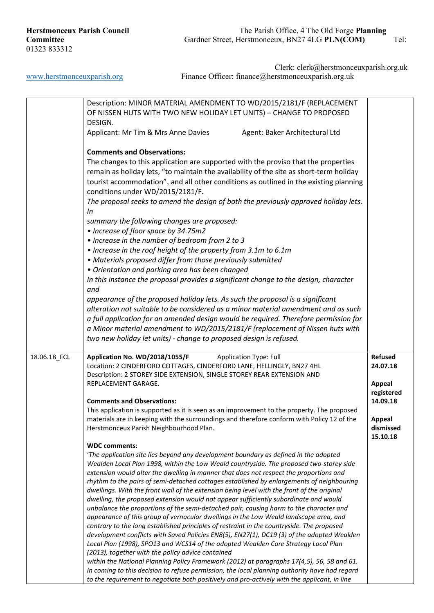|              | Description: MINOR MATERIAL AMENDMENT TO WD/2015/2181/F (REPLACEMENT                                                                                                                          |                |
|--------------|-----------------------------------------------------------------------------------------------------------------------------------------------------------------------------------------------|----------------|
|              | OF NISSEN HUTS WITH TWO NEW HOLIDAY LET UNITS) - CHANGE TO PROPOSED                                                                                                                           |                |
|              | DESIGN.                                                                                                                                                                                       |                |
|              | Applicant: Mr Tim & Mrs Anne Davies<br>Agent: Baker Architectural Ltd                                                                                                                         |                |
|              |                                                                                                                                                                                               |                |
|              | <b>Comments and Observations:</b>                                                                                                                                                             |                |
|              | The changes to this application are supported with the proviso that the properties                                                                                                            |                |
|              | remain as holiday lets, "to maintain the availability of the site as short-term holiday                                                                                                       |                |
|              | tourist accommodation", and all other conditions as outlined in the existing planning                                                                                                         |                |
|              | conditions under WD/2015/2181/F.                                                                                                                                                              |                |
|              | The proposal seeks to amend the design of both the previously approved holiday lets.                                                                                                          |                |
|              | In                                                                                                                                                                                            |                |
|              | summary the following changes are proposed:                                                                                                                                                   |                |
|              | • Increase of floor space by 34.75m2                                                                                                                                                          |                |
|              | • Increase in the number of bedroom from 2 to 3                                                                                                                                               |                |
|              | • Increase in the roof height of the property from 3.1m to 6.1m                                                                                                                               |                |
|              | • Materials proposed differ from those previously submitted                                                                                                                                   |                |
|              | • Orientation and parking area has been changed                                                                                                                                               |                |
|              | In this instance the proposal provides a significant change to the design, character                                                                                                          |                |
|              | and                                                                                                                                                                                           |                |
|              | appearance of the proposed holiday lets. As such the proposal is a significant                                                                                                                |                |
|              | alteration not suitable to be considered as a minor material amendment and as such                                                                                                            |                |
|              | a full application for an amended design would be required. Therefore permission for                                                                                                          |                |
|              | a Minor material amendment to WD/2015/2181/F (replacement of Nissen huts with                                                                                                                 |                |
|              | two new holiday let units) - change to proposed design is refused.                                                                                                                            |                |
|              |                                                                                                                                                                                               |                |
| 18.06.18_FCL | Application No. WD/2018/1055/F<br><b>Application Type: Full</b>                                                                                                                               | <b>Refused</b> |
|              | Location: 2 CINDERFORD COTTAGES, CINDERFORD LANE, HELLINGLY, BN27 4HL                                                                                                                         | 24.07.18       |
|              | Description: 2 STOREY SIDE EXTENSION, SINGLE STOREY REAR EXTENSION AND                                                                                                                        |                |
|              | REPLACEMENT GARAGE.                                                                                                                                                                           | <b>Appeal</b>  |
|              |                                                                                                                                                                                               | registered     |
|              | <b>Comments and Observations:</b>                                                                                                                                                             | 14.09.18       |
|              | This application is supported as it is seen as an improvement to the property. The proposed                                                                                                   |                |
|              | materials are in keeping with the surroundings and therefore conform with Policy 12 of the                                                                                                    | <b>Appeal</b>  |
|              | Herstmonceux Parish Neighbourhood Plan.                                                                                                                                                       | dismissed      |
|              |                                                                                                                                                                                               | 15.10.18       |
|              | <b>WDC</b> comments:                                                                                                                                                                          |                |
|              | 'The application site lies beyond any development boundary as defined in the adopted<br>Wealden Local Plan 1998, within the Low Weald countryside. The proposed two-storey side               |                |
|              | extension would alter the dwelling in manner that does not respect the proportions and                                                                                                        |                |
|              | rhythm to the pairs of semi-detached cottages established by enlargements of neighbouring                                                                                                     |                |
|              | dwellings. With the front wall of the extension being level with the front of the original                                                                                                    |                |
|              | dwelling, the proposed extension would not appear sufficiently subordinate and would                                                                                                          |                |
|              | unbalance the proportions of the semi-detached pair, causing harm to the character and                                                                                                        |                |
|              | appearance of this group of vernacular dwellings in the Low Weald landscape area, and                                                                                                         |                |
|              | contrary to the long established principles of restraint in the countryside. The proposed                                                                                                     |                |
|              | development conflicts with Saved Policies EN8(5), EN27(1), DC19 (3) of the adopted Wealden                                                                                                    |                |
|              |                                                                                                                                                                                               |                |
|              | Local Plan (1998), SPO13 and WCS14 of the adopted Wealden Core Strategy Local Plan                                                                                                            |                |
|              | (2013), together with the policy advice contained                                                                                                                                             |                |
|              | within the National Planning Policy Framework (2012) at paragraphs 17(4,5), 56, 58 and 61.                                                                                                    |                |
|              | In coming to this decision to refuse permission, the local planning authority have had regard<br>to the requirement to negotiate both positively and pro-actively with the applicant, in line |                |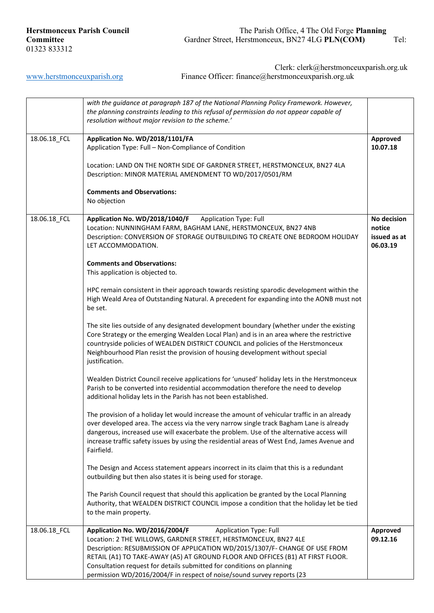[www.herstmonceuxparish.org](http://www.herstmonceuxparish.org/) Finance Officer: finance@herstmonceuxparish.org.uk

Clerk: clerk@herstmonceuxparish.org.uk

|              | with the guidance at paragraph 187 of the National Planning Policy Framework. However,<br>the planning constraints leading to this refusal of permission do not appear capable of<br>resolution without major revision to the scheme.'                                                                                                                                                                                                                 |                                                   |
|--------------|--------------------------------------------------------------------------------------------------------------------------------------------------------------------------------------------------------------------------------------------------------------------------------------------------------------------------------------------------------------------------------------------------------------------------------------------------------|---------------------------------------------------|
| 18.06.18_FCL | Application No. WD/2018/1101/FA<br>Application Type: Full - Non-Compliance of Condition<br>Location: LAND ON THE NORTH SIDE OF GARDNER STREET, HERSTMONCEUX, BN27 4LA<br>Description: MINOR MATERIAL AMENDMENT TO WD/2017/0501/RM<br><b>Comments and Observations:</b>                                                                                                                                                                                 | Approved<br>10.07.18                              |
|              | No objection                                                                                                                                                                                                                                                                                                                                                                                                                                           |                                                   |
| 18.06.18_FCL | <b>Application Type: Full</b><br>Application No. WD/2018/1040/F<br>Location: NUNNINGHAM FARM, BAGHAM LANE, HERSTMONCEUX, BN27 4NB<br>Description: CONVERSION OF STORAGE OUTBUILDING TO CREATE ONE BEDROOM HOLIDAY<br>LET ACCOMMODATION.                                                                                                                                                                                                                | No decision<br>notice<br>issued as at<br>06.03.19 |
|              | <b>Comments and Observations:</b><br>This application is objected to.                                                                                                                                                                                                                                                                                                                                                                                  |                                                   |
|              | HPC remain consistent in their approach towards resisting sparodic development within the<br>High Weald Area of Outstanding Natural. A precedent for expanding into the AONB must not<br>be set.                                                                                                                                                                                                                                                       |                                                   |
|              | The site lies outside of any designated development boundary (whether under the existing<br>Core Strategy or the emerging Wealden Local Plan) and is in an area where the restrictive<br>countryside policies of WEALDEN DISTRICT COUNCIL and policies of the Herstmonceux<br>Neighbourhood Plan resist the provision of housing development without special<br>justification.                                                                         |                                                   |
|              | Wealden District Council receive applications for 'unused' holiday lets in the Herstmonceux<br>Parish to be converted into residential accommodation therefore the need to develop<br>additional holiday lets in the Parish has not been established.                                                                                                                                                                                                  |                                                   |
|              | The provision of a holiday let would increase the amount of vehicular traffic in an already<br>over developed area. The access via the very narrow single track Bagham Lane is already<br>dangerous, increased use will exacerbate the problem. Use of the alternative access will<br>increase traffic safety issues by using the residential areas of West End, James Avenue and<br>Fairfield.                                                        |                                                   |
|              | The Design and Access statement appears incorrect in its claim that this is a redundant<br>outbuilding but then also states it is being used for storage.                                                                                                                                                                                                                                                                                              |                                                   |
|              | The Parish Council request that should this application be granted by the Local Planning<br>Authority, that WEALDEN DISTRICT COUNCIL impose a condition that the holiday let be tied<br>to the main property.                                                                                                                                                                                                                                          |                                                   |
| 18.06.18_FCL | Application No. WD/2016/2004/F<br><b>Application Type: Full</b><br>Location: 2 THE WILLOWS, GARDNER STREET, HERSTMONCEUX, BN27 4LE<br>Description: RESUBMISSION OF APPLICATION WD/2015/1307/F- CHANGE OF USE FROM<br>RETAIL (A1) TO TAKE-AWAY (A5) AT GROUND FLOOR AND OFFICES (B1) AT FIRST FLOOR.<br>Consultation request for details submitted for conditions on planning<br>permission WD/2016/2004/F in respect of noise/sound survey reports (23 | Approved<br>09.12.16                              |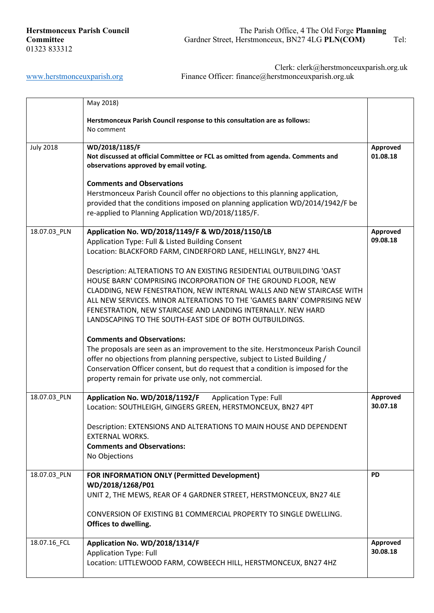|                  | May 2018)                                                                                                                                                                                                                                                                                                                                                                                                                                                                                                                                                                                                                                                                                                                                                                                                                                                                                                                                             |                      |
|------------------|-------------------------------------------------------------------------------------------------------------------------------------------------------------------------------------------------------------------------------------------------------------------------------------------------------------------------------------------------------------------------------------------------------------------------------------------------------------------------------------------------------------------------------------------------------------------------------------------------------------------------------------------------------------------------------------------------------------------------------------------------------------------------------------------------------------------------------------------------------------------------------------------------------------------------------------------------------|----------------------|
|                  | Herstmonceux Parish Council response to this consultation are as follows:<br>No comment                                                                                                                                                                                                                                                                                                                                                                                                                                                                                                                                                                                                                                                                                                                                                                                                                                                               |                      |
| <b>July 2018</b> | WD/2018/1185/F<br>Not discussed at official Committee or FCL as omitted from agenda. Comments and<br>observations approved by email voting.                                                                                                                                                                                                                                                                                                                                                                                                                                                                                                                                                                                                                                                                                                                                                                                                           | Approved<br>01.08.18 |
|                  | <b>Comments and Observations</b><br>Herstmonceux Parish Council offer no objections to this planning application,<br>provided that the conditions imposed on planning application WD/2014/1942/F be<br>re-applied to Planning Application WD/2018/1185/F.                                                                                                                                                                                                                                                                                                                                                                                                                                                                                                                                                                                                                                                                                             |                      |
| 18.07.03_PLN     | Application No. WD/2018/1149/F & WD/2018/1150/LB<br>Application Type: Full & Listed Building Consent<br>Location: BLACKFORD FARM, CINDERFORD LANE, HELLINGLY, BN27 4HL<br>Description: ALTERATIONS TO AN EXISTING RESIDENTIAL OUTBUILDING 'OAST<br>HOUSE BARN' COMPRISING INCORPORATION OF THE GROUND FLOOR, NEW<br>CLADDING, NEW FENESTRATION, NEW INTERNAL WALLS AND NEW STAIRCASE WITH<br>ALL NEW SERVICES. MINOR ALTERATIONS TO THE 'GAMES BARN' COMPRISING NEW<br>FENESTRATION, NEW STAIRCASE AND LANDING INTERNALLY. NEW HARD<br>LANDSCAPING TO THE SOUTH-EAST SIDE OF BOTH OUTBUILDINGS.<br><b>Comments and Observations:</b><br>The proposals are seen as an improvement to the site. Herstmonceux Parish Council<br>offer no objections from planning perspective, subject to Listed Building /<br>Conservation Officer consent, but do request that a condition is imposed for the<br>property remain for private use only, not commercial. | Approved<br>09.08.18 |
| 18.07.03_PLN     | Application No. WD/2018/1192/F<br><b>Application Type: Full</b><br>Location: SOUTHLEIGH, GINGERS GREEN, HERSTMONCEUX, BN27 4PT<br>Description: EXTENSIONS AND ALTERATIONS TO MAIN HOUSE AND DEPENDENT<br><b>EXTERNAL WORKS.</b><br><b>Comments and Observations:</b><br>No Objections                                                                                                                                                                                                                                                                                                                                                                                                                                                                                                                                                                                                                                                                 | Approved<br>30.07.18 |
| 18.07.03_PLN     | FOR INFORMATION ONLY (Permitted Development)<br>WD/2018/1268/P01<br>UNIT 2, THE MEWS, REAR OF 4 GARDNER STREET, HERSTMONCEUX, BN27 4LE<br>CONVERSION OF EXISTING B1 COMMERCIAL PROPERTY TO SINGLE DWELLING.<br>Offices to dwelling.                                                                                                                                                                                                                                                                                                                                                                                                                                                                                                                                                                                                                                                                                                                   | <b>PD</b>            |
| 18.07.16_FCL     | Application No. WD/2018/1314/F<br><b>Application Type: Full</b><br>Location: LITTLEWOOD FARM, COWBEECH HILL, HERSTMONCEUX, BN27 4HZ                                                                                                                                                                                                                                                                                                                                                                                                                                                                                                                                                                                                                                                                                                                                                                                                                   | Approved<br>30.08.18 |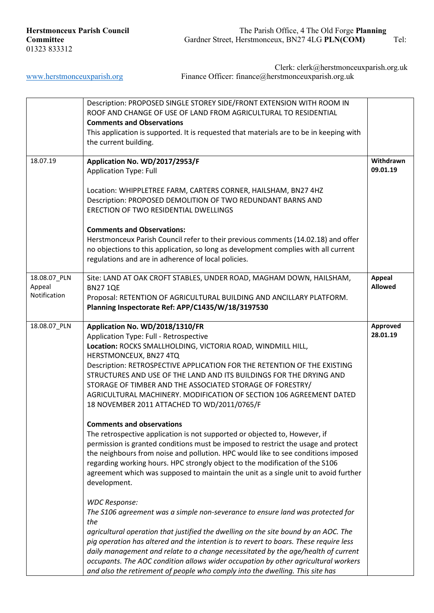|                                        | Description: PROPOSED SINGLE STOREY SIDE/FRONT EXTENSION WITH ROOM IN                                                                                                                                                                                                                                                                                                                                                                                                                                                                                                                                                                                                                                                                                                                                                                                                                                                                                                                                                                                                                                                                                                                                                                                                                                                                                                              |                          |
|----------------------------------------|------------------------------------------------------------------------------------------------------------------------------------------------------------------------------------------------------------------------------------------------------------------------------------------------------------------------------------------------------------------------------------------------------------------------------------------------------------------------------------------------------------------------------------------------------------------------------------------------------------------------------------------------------------------------------------------------------------------------------------------------------------------------------------------------------------------------------------------------------------------------------------------------------------------------------------------------------------------------------------------------------------------------------------------------------------------------------------------------------------------------------------------------------------------------------------------------------------------------------------------------------------------------------------------------------------------------------------------------------------------------------------|--------------------------|
|                                        | ROOF AND CHANGE OF USE OF LAND FROM AGRICULTURAL TO RESIDENTIAL                                                                                                                                                                                                                                                                                                                                                                                                                                                                                                                                                                                                                                                                                                                                                                                                                                                                                                                                                                                                                                                                                                                                                                                                                                                                                                                    |                          |
|                                        | <b>Comments and Observations</b><br>This application is supported. It is requested that materials are to be in keeping with                                                                                                                                                                                                                                                                                                                                                                                                                                                                                                                                                                                                                                                                                                                                                                                                                                                                                                                                                                                                                                                                                                                                                                                                                                                        |                          |
|                                        | the current building.                                                                                                                                                                                                                                                                                                                                                                                                                                                                                                                                                                                                                                                                                                                                                                                                                                                                                                                                                                                                                                                                                                                                                                                                                                                                                                                                                              |                          |
|                                        |                                                                                                                                                                                                                                                                                                                                                                                                                                                                                                                                                                                                                                                                                                                                                                                                                                                                                                                                                                                                                                                                                                                                                                                                                                                                                                                                                                                    |                          |
| 18.07.19                               | Application No. WD/2017/2953/F<br><b>Application Type: Full</b>                                                                                                                                                                                                                                                                                                                                                                                                                                                                                                                                                                                                                                                                                                                                                                                                                                                                                                                                                                                                                                                                                                                                                                                                                                                                                                                    | Withdrawn<br>09.01.19    |
|                                        | Location: WHIPPLETREE FARM, CARTERS CORNER, HAILSHAM, BN27 4HZ<br>Description: PROPOSED DEMOLITION OF TWO REDUNDANT BARNS AND<br>ERECTION OF TWO RESIDENTIAL DWELLINGS                                                                                                                                                                                                                                                                                                                                                                                                                                                                                                                                                                                                                                                                                                                                                                                                                                                                                                                                                                                                                                                                                                                                                                                                             |                          |
|                                        | <b>Comments and Observations:</b><br>Herstmonceux Parish Council refer to their previous comments (14.02.18) and offer<br>no objections to this application, so long as development complies with all current<br>regulations and are in adherence of local policies.                                                                                                                                                                                                                                                                                                                                                                                                                                                                                                                                                                                                                                                                                                                                                                                                                                                                                                                                                                                                                                                                                                               |                          |
| 18.08.07 PLN<br>Appeal<br>Notification | Site: LAND AT OAK CROFT STABLES, UNDER ROAD, MAGHAM DOWN, HAILSHAM,<br><b>BN271QE</b><br>Proposal: RETENTION OF AGRICULTURAL BUILDING AND ANCILLARY PLATFORM.<br>Planning Inspectorate Ref: APP/C1435/W/18/3197530                                                                                                                                                                                                                                                                                                                                                                                                                                                                                                                                                                                                                                                                                                                                                                                                                                                                                                                                                                                                                                                                                                                                                                 | Appeal<br><b>Allowed</b> |
| 18.08.07_PLN                           | Application No. WD/2018/1310/FR<br>Application Type: Full - Retrospective<br>Location: ROCKS SMALLHOLDING, VICTORIA ROAD, WINDMILL HILL,<br>HERSTMONCEUX, BN27 4TQ<br>Description: RETROSPECTIVE APPLICATION FOR THE RETENTION OF THE EXISTING<br>STRUCTURES AND USE OF THE LAND AND ITS BUILDINGS FOR THE DRYING AND<br>STORAGE OF TIMBER AND THE ASSOCIATED STORAGE OF FORESTRY/<br>AGRICULTURAL MACHINERY. MODIFICATION OF SECTION 106 AGREEMENT DATED<br>18 NOVEMBER 2011 ATTACHED TO WD/2011/0765/F<br><b>Comments and observations</b><br>The retrospective application is not supported or objected to, However, if<br>permission is granted conditions must be imposed to restrict the usage and protect<br>the neighbours from noise and pollution. HPC would like to see conditions imposed<br>regarding working hours. HPC strongly object to the modification of the S106<br>agreement which was supposed to maintain the unit as a single unit to avoid further<br>development.<br><b>WDC Response:</b><br>The S106 agreement was a simple non-severance to ensure land was protected for<br>the<br>agricultural operation that justified the dwelling on the site bound by an AOC. The<br>pig operation has altered and the intention is to revert to boars. These require less<br>daily management and relate to a change necessitated by the age/health of current | Approved<br>28.01.19     |
|                                        | occupants. The AOC condition allows wider occupation by other agricultural workers<br>and also the retirement of people who comply into the dwelling. This site has                                                                                                                                                                                                                                                                                                                                                                                                                                                                                                                                                                                                                                                                                                                                                                                                                                                                                                                                                                                                                                                                                                                                                                                                                |                          |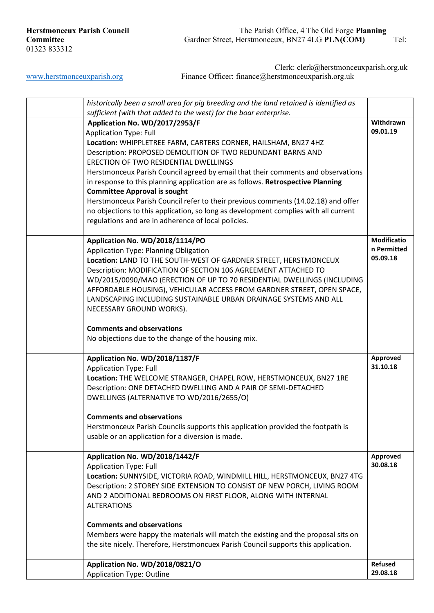| historically been a small area for pig breeding and the land retained is identified as |                    |
|----------------------------------------------------------------------------------------|--------------------|
| sufficient (with that added to the west) for the boar enterprise.                      |                    |
| Application No. WD/2017/2953/F                                                         | Withdrawn          |
| <b>Application Type: Full</b>                                                          | 09.01.19           |
| Location: WHIPPLETREE FARM, CARTERS CORNER, HAILSHAM, BN27 4HZ                         |                    |
| Description: PROPOSED DEMOLITION OF TWO REDUNDANT BARNS AND                            |                    |
| ERECTION OF TWO RESIDENTIAL DWELLINGS                                                  |                    |
| Herstmonceux Parish Council agreed by email that their comments and observations       |                    |
| in response to this planning application are as follows. Retrospective Planning        |                    |
| <b>Committee Approval is sought</b>                                                    |                    |
| Herstmonceux Parish Council refer to their previous comments (14.02.18) and offer      |                    |
| no objections to this application, so long as development complies with all current    |                    |
| regulations and are in adherence of local policies.                                    |                    |
|                                                                                        |                    |
| Application No. WD/2018/1114/PO                                                        | <b>Modificatio</b> |
| Application Type: Planning Obligation                                                  | n Permitted        |
| Location: LAND TO THE SOUTH-WEST OF GARDNER STREET, HERSTMONCEUX                       | 05.09.18           |
| Description: MODIFICATION OF SECTION 106 AGREEMENT ATTACHED TO                         |                    |
| WD/2015/0090/MAO (ERECTION OF UP TO 70 RESIDENTIAL DWELLINGS (INCLUDING                |                    |
| AFFORDABLE HOUSING), VEHICULAR ACCESS FROM GARDNER STREET, OPEN SPACE,                 |                    |
| LANDSCAPING INCLUDING SUSTAINABLE URBAN DRAINAGE SYSTEMS AND ALL                       |                    |
| NECESSARY GROUND WORKS).                                                               |                    |
|                                                                                        |                    |
| <b>Comments and observations</b>                                                       |                    |
| No objections due to the change of the housing mix.                                    |                    |
|                                                                                        |                    |
| Application No. WD/2018/1187/F                                                         | Approved           |
| <b>Application Type: Full</b>                                                          | 31.10.18           |
| Location: THE WELCOME STRANGER, CHAPEL ROW, HERSTMONCEUX, BN27 1RE                     |                    |
| Description: ONE DETACHED DWELLING AND A PAIR OF SEMI-DETACHED                         |                    |
| DWELLINGS (ALTERNATIVE TO WD/2016/2655/O)                                              |                    |
|                                                                                        |                    |
| <b>Comments and observations</b>                                                       |                    |
| Herstmonceux Parish Councils supports this application provided the footpath is        |                    |
| usable or an application for a diversion is made.                                      |                    |
|                                                                                        |                    |
| Application No. WD/2018/1442/F                                                         | Approved           |
| <b>Application Type: Full</b>                                                          | 30.08.18           |
| Location: SUNNYSIDE, VICTORIA ROAD, WINDMILL HILL, HERSTMONCEUX, BN27 4TG              |                    |
| Description: 2 STOREY SIDE EXTENSION TO CONSIST OF NEW PORCH, LIVING ROOM              |                    |
| AND 2 ADDITIONAL BEDROOMS ON FIRST FLOOR, ALONG WITH INTERNAL                          |                    |
|                                                                                        |                    |
| <b>ALTERATIONS</b>                                                                     |                    |
|                                                                                        |                    |
| <b>Comments and observations</b>                                                       |                    |
| Members were happy the materials will match the existing and the proposal sits on      |                    |
| the site nicely. Therefore, Herstmoncuex Parish Council supports this application.     |                    |
|                                                                                        |                    |
| Application No. WD/2018/0821/O                                                         | <b>Refused</b>     |
| <b>Application Type: Outline</b>                                                       | 29.08.18           |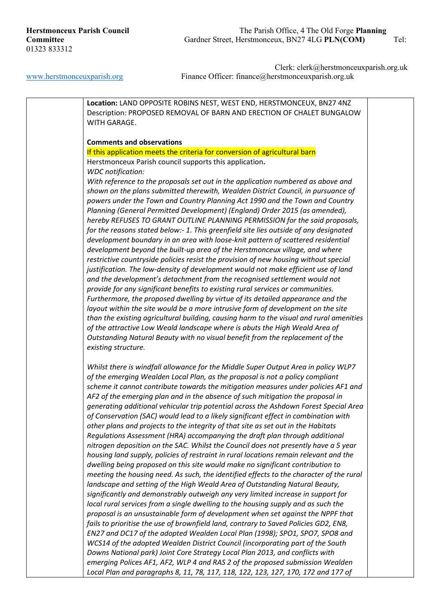Clerk: clerk@herstmonceuxparish.org.uk [www.herstmonceuxparish.org](http://www.herstmonceuxparish.org/) Finance Officer: finance absorber and Finance Pricer: finance absorber and Finance absorber and Finance Different amount of the United States and Turking.

**Location:** LAND OPPOSITE ROBINS NEST, WEST END, HERSTMONCEUX, BN27 4NZ Description: PROPOSED REMOVAL OF BARN AND ERECTION OF CHALET BUNGALOW WITH GARAGE. **Comments and observations** If this application meets the criteria for conversion of agricultural barn Herstmonceux Parish council supports this application**.** *WDC notification: With reference to the proposals set out in the application numbered as above and shown on the plans submitted therewith, Wealden District Council, in pursuance of powers under the Town and Country Planning Act 1990 and the Town and Country Planning (General Permitted Development) (England) Order 2015 (as amended), hereby REFUSES TO GRANT OUTLINE PLANNING PERMISSION for the said proposals, for the reasons stated below:- 1. This greenfield site lies outside of any designated development boundary in an area with loose-knit pattern of scattered residential development beyond the built-up area of the Herstmonceux village, and where restrictive countryside policies resist the provision of new housing without special justification. The low-density of development would not make efficient use of land and the development's detachment from the recognised settlement would not provide for any significant benefits to existing rural services or communities. Furthermore, the proposed dwelling by virtue of its detailed appearance and the*  layout within the site would be a more intrusive form of development on the site *than the existing agricultural building, causing harm to the visual and rural amenities of the attractive Low Weald landscape where is abuts the High Weald Area of Outstanding Natural Beauty with no visual benefit from the replacement of the existing structure. Whilst there is windfall allowance for the Middle Super Output Area in policy WLP7 of the emerging Wealden Local Plan, as the proposal is not a policy compliant scheme it cannot contribute towards the mitigation measures under policies AF1 and AF2 of the emerging plan and in the absence of such mitigation the proposal in generating additional vehicular trip potential across the Ashdown Forest Special Area of Conservation (SAC) would lead to a likely significant effect in combination with other plans and projects to the integrity of that site as set out in the Habitats Regulations Assessment (HRA) accompanying the draft plan through additional nitrogen deposition on the SAC. Whilst the Council does not presently have a 5 year housing land supply, policies of restraint in rural locations remain relevant and the dwelling being proposed on this site would make no significant contribution to meeting the housing need. As such, the identified effects to the character of the rural landscape and setting of the High Weald Area of Outstanding Natural Beauty, significantly and demonstrably outweigh any very limited increase in support for local rural services from a single dwelling to the housing supply and as such the proposal is an unsustainable form of development when set against the NPPF that fails to prioritise the use of brownfield land, contrary to Saved Policies GD2, EN8, EN27 and DC17 of the adopted Wealden Local Plan (1998); SPO1, SPO7, SPO8 and WCS14 of the adopted Wealden District Council (incorporating part of the South Downs National park) Joint Core Strategy Local Plan 2013, and conflicts with emerging Polices AF1, AF2, WLP 4 and RAS 2 of the proposed submission Wealden Local Plan and paragraphs 8, 11, 78, 117, 118, 122, 123, 127, 170, 172 and 177 of*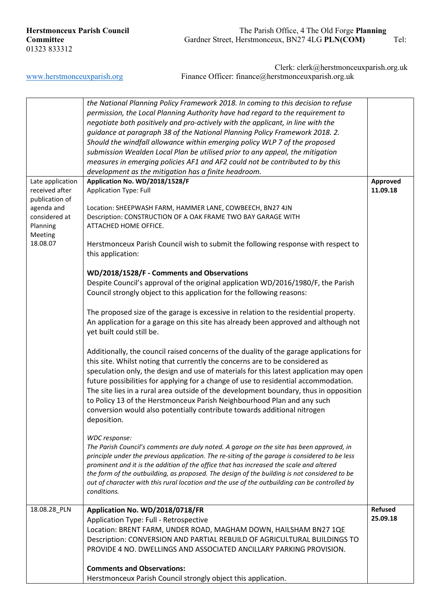| <b>Herstmonceux Parish Council</b> |
|------------------------------------|
| Committee                          |
| 01323 833312                       |

|                             | the National Planning Policy Framework 2018. In coming to this decision to refuse<br>permission, the Local Planning Authority have had regard to the requirement to<br>negotiate both positively and pro-actively with the applicant, in line with the<br>guidance at paragraph 38 of the National Planning Policy Framework 2018. 2.<br>Should the windfall allowance within emerging policy WLP 7 of the proposed<br>submission Wealden Local Plan be utilised prior to any appeal, the mitigation<br>measures in emerging policies AF1 and AF2 could not be contributed to by this<br>development as the mitigation has a finite headroom. |                |
|-----------------------------|-----------------------------------------------------------------------------------------------------------------------------------------------------------------------------------------------------------------------------------------------------------------------------------------------------------------------------------------------------------------------------------------------------------------------------------------------------------------------------------------------------------------------------------------------------------------------------------------------------------------------------------------------|----------------|
| Late application            | Application No. WD/2018/1528/F                                                                                                                                                                                                                                                                                                                                                                                                                                                                                                                                                                                                                | Approved       |
| received after              | <b>Application Type: Full</b>                                                                                                                                                                                                                                                                                                                                                                                                                                                                                                                                                                                                                 | 11.09.18       |
| publication of              |                                                                                                                                                                                                                                                                                                                                                                                                                                                                                                                                                                                                                                               |                |
| agenda and<br>considered at | Location: SHEEPWASH FARM, HAMMER LANE, COWBEECH, BN27 4JN<br>Description: CONSTRUCTION OF A OAK FRAME TWO BAY GARAGE WITH                                                                                                                                                                                                                                                                                                                                                                                                                                                                                                                     |                |
| Planning                    | ATTACHED HOME OFFICE.                                                                                                                                                                                                                                                                                                                                                                                                                                                                                                                                                                                                                         |                |
| Meeting                     |                                                                                                                                                                                                                                                                                                                                                                                                                                                                                                                                                                                                                                               |                |
| 18.08.07                    | Herstmonceux Parish Council wish to submit the following response with respect to                                                                                                                                                                                                                                                                                                                                                                                                                                                                                                                                                             |                |
|                             | this application:                                                                                                                                                                                                                                                                                                                                                                                                                                                                                                                                                                                                                             |                |
|                             |                                                                                                                                                                                                                                                                                                                                                                                                                                                                                                                                                                                                                                               |                |
|                             | WD/2018/1528/F - Comments and Observations                                                                                                                                                                                                                                                                                                                                                                                                                                                                                                                                                                                                    |                |
|                             | Despite Council's approval of the original application WD/2016/1980/F, the Parish<br>Council strongly object to this application for the following reasons:                                                                                                                                                                                                                                                                                                                                                                                                                                                                                   |                |
|                             |                                                                                                                                                                                                                                                                                                                                                                                                                                                                                                                                                                                                                                               |                |
|                             | The proposed size of the garage is excessive in relation to the residential property.                                                                                                                                                                                                                                                                                                                                                                                                                                                                                                                                                         |                |
|                             | An application for a garage on this site has already been approved and although not                                                                                                                                                                                                                                                                                                                                                                                                                                                                                                                                                           |                |
|                             | yet built could still be.                                                                                                                                                                                                                                                                                                                                                                                                                                                                                                                                                                                                                     |                |
|                             |                                                                                                                                                                                                                                                                                                                                                                                                                                                                                                                                                                                                                                               |                |
|                             | Additionally, the council raised concerns of the duality of the garage applications for                                                                                                                                                                                                                                                                                                                                                                                                                                                                                                                                                       |                |
|                             | this site. Whilst noting that currently the concerns are to be considered as                                                                                                                                                                                                                                                                                                                                                                                                                                                                                                                                                                  |                |
|                             | speculation only, the design and use of materials for this latest application may open                                                                                                                                                                                                                                                                                                                                                                                                                                                                                                                                                        |                |
|                             | future possibilities for applying for a change of use to residential accommodation.                                                                                                                                                                                                                                                                                                                                                                                                                                                                                                                                                           |                |
|                             | The site lies in a rural area outside of the development boundary, thus in opposition<br>to Policy 13 of the Herstmonceux Parish Neighbourhood Plan and any such                                                                                                                                                                                                                                                                                                                                                                                                                                                                              |                |
|                             | conversion would also potentially contribute towards additional nitrogen                                                                                                                                                                                                                                                                                                                                                                                                                                                                                                                                                                      |                |
|                             | deposition.                                                                                                                                                                                                                                                                                                                                                                                                                                                                                                                                                                                                                                   |                |
|                             |                                                                                                                                                                                                                                                                                                                                                                                                                                                                                                                                                                                                                                               |                |
|                             | WDC response:                                                                                                                                                                                                                                                                                                                                                                                                                                                                                                                                                                                                                                 |                |
|                             | The Parish Council's comments are duly noted. A garage on the site has been approved, in                                                                                                                                                                                                                                                                                                                                                                                                                                                                                                                                                      |                |
|                             | principle under the previous application. The re-siting of the garage is considered to be less<br>prominent and it is the addition of the office that has increased the scale and altered                                                                                                                                                                                                                                                                                                                                                                                                                                                     |                |
|                             | the form of the outbuilding, as proposed. The design of the building is not considered to be                                                                                                                                                                                                                                                                                                                                                                                                                                                                                                                                                  |                |
|                             | out of character with this rural location and the use of the outbuilding can be controlled by                                                                                                                                                                                                                                                                                                                                                                                                                                                                                                                                                 |                |
|                             | conditions.                                                                                                                                                                                                                                                                                                                                                                                                                                                                                                                                                                                                                                   |                |
|                             |                                                                                                                                                                                                                                                                                                                                                                                                                                                                                                                                                                                                                                               | <b>Refused</b> |
| 18.08.28_PLN                | Application No. WD/2018/0718/FR<br>Application Type: Full - Retrospective                                                                                                                                                                                                                                                                                                                                                                                                                                                                                                                                                                     | 25.09.18       |
|                             | Location: BRENT FARM, UNDER ROAD, MAGHAM DOWN, HAILSHAM BN27 1QE                                                                                                                                                                                                                                                                                                                                                                                                                                                                                                                                                                              |                |
|                             | Description: CONVERSION AND PARTIAL REBUILD OF AGRICULTURAL BUILDINGS TO                                                                                                                                                                                                                                                                                                                                                                                                                                                                                                                                                                      |                |
|                             | PROVIDE 4 NO. DWELLINGS AND ASSOCIATED ANCILLARY PARKING PROVISION.                                                                                                                                                                                                                                                                                                                                                                                                                                                                                                                                                                           |                |
|                             |                                                                                                                                                                                                                                                                                                                                                                                                                                                                                                                                                                                                                                               |                |
|                             | <b>Comments and Observations:</b>                                                                                                                                                                                                                                                                                                                                                                                                                                                                                                                                                                                                             |                |
|                             | Herstmonceux Parish Council strongly object this application.                                                                                                                                                                                                                                                                                                                                                                                                                                                                                                                                                                                 |                |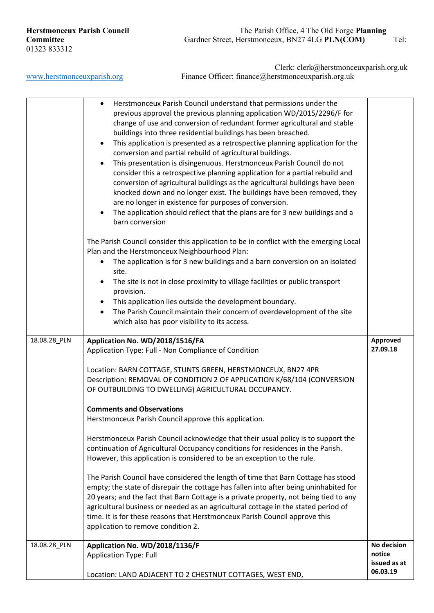|              | Herstmonceux Parish Council understand that permissions under the<br>$\bullet$<br>previous approval the previous planning application WD/2015/2296/F for<br>change of use and conversion of redundant former agricultural and stable<br>buildings into three residential buildings has been breached.<br>This application is presented as a retrospective planning application for the<br>$\bullet$<br>conversion and partial rebuild of agricultural buildings.<br>This presentation is disingenuous. Herstmonceux Parish Council do not<br>$\bullet$<br>consider this a retrospective planning application for a partial rebuild and<br>conversion of agricultural buildings as the agricultural buildings have been<br>knocked down and no longer exist. The buildings have been removed, they<br>are no longer in existence for purposes of conversion.<br>The application should reflect that the plans are for 3 new buildings and a<br>$\bullet$<br>barn conversion |                                                   |
|--------------|----------------------------------------------------------------------------------------------------------------------------------------------------------------------------------------------------------------------------------------------------------------------------------------------------------------------------------------------------------------------------------------------------------------------------------------------------------------------------------------------------------------------------------------------------------------------------------------------------------------------------------------------------------------------------------------------------------------------------------------------------------------------------------------------------------------------------------------------------------------------------------------------------------------------------------------------------------------------------|---------------------------------------------------|
|              | The Parish Council consider this application to be in conflict with the emerging Local<br>Plan and the Herstmonceux Neighbourhood Plan:<br>The application is for 3 new buildings and a barn conversion on an isolated<br>$\bullet$<br>site.<br>The site is not in close proximity to village facilities or public transport<br>$\bullet$<br>provision.<br>This application lies outside the development boundary.<br>٠<br>The Parish Council maintain their concern of overdevelopment of the site<br>$\bullet$<br>which also has poor visibility to its access.                                                                                                                                                                                                                                                                                                                                                                                                          |                                                   |
| 18.08.28_PLN | Application No. WD/2018/1516/FA<br>Application Type: Full - Non Compliance of Condition<br>Location: BARN COTTAGE, STUNTS GREEN, HERSTMONCEUX, BN27 4PR<br>Description: REMOVAL OF CONDITION 2 OF APPLICATION K/68/104 (CONVERSION<br>OF OUTBUILDING TO DWELLING) AGRICULTURAL OCCUPANCY.                                                                                                                                                                                                                                                                                                                                                                                                                                                                                                                                                                                                                                                                                  | Approved<br>27.09.18                              |
|              | <b>Comments and Observations</b><br>Herstmonceux Parish Council approve this application.<br>Herstmonceux Parish Council acknowledge that their usual policy is to support the<br>continuation of Agricultural Occupancy conditions for residences in the Parish.<br>However, this application is considered to be an exception to the rule.                                                                                                                                                                                                                                                                                                                                                                                                                                                                                                                                                                                                                               |                                                   |
|              | The Parish Council have considered the length of time that Barn Cottage has stood<br>empty; the state of disrepair the cottage has fallen into after being uninhabited for<br>20 years; and the fact that Barn Cottage is a private property, not being tied to any<br>agricultural business or needed as an agricultural cottage in the stated period of<br>time. It is for these reasons that Herstmonceux Parish Council approve this<br>application to remove condition 2.                                                                                                                                                                                                                                                                                                                                                                                                                                                                                             |                                                   |
| 18.08.28_PLN | Application No. WD/2018/1136/F<br><b>Application Type: Full</b><br>Location: LAND ADJACENT TO 2 CHESTNUT COTTAGES, WEST END,                                                                                                                                                                                                                                                                                                                                                                                                                                                                                                                                                                                                                                                                                                                                                                                                                                               | No decision<br>notice<br>issued as at<br>06.03.19 |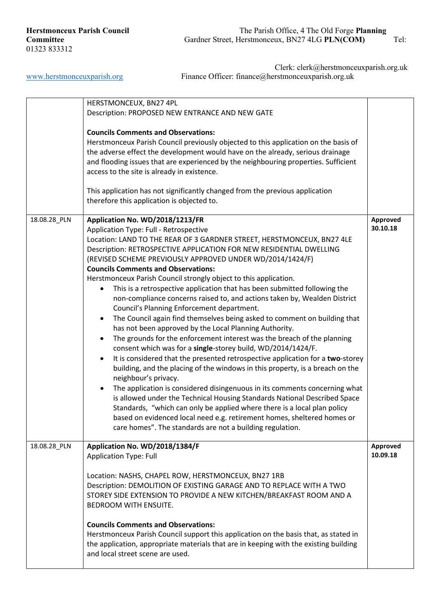|              | HERSTMONCEUX, BN27 4PL<br>Description: PROPOSED NEW ENTRANCE AND NEW GATE<br><b>Councils Comments and Observations:</b><br>Herstmonceux Parish Council previously objected to this application on the basis of<br>the adverse effect the development would have on the already, serious drainage<br>and flooding issues that are experienced by the neighbouring properties. Sufficient<br>access to the site is already in existence.<br>This application has not significantly changed from the previous application<br>therefore this application is objected to.                                                                                                                                                                                                                                                                                                                                                                                                                                                                                                                                                                                                                                                                                                                                                                                                                                                                                                                                                           |                      |
|--------------|--------------------------------------------------------------------------------------------------------------------------------------------------------------------------------------------------------------------------------------------------------------------------------------------------------------------------------------------------------------------------------------------------------------------------------------------------------------------------------------------------------------------------------------------------------------------------------------------------------------------------------------------------------------------------------------------------------------------------------------------------------------------------------------------------------------------------------------------------------------------------------------------------------------------------------------------------------------------------------------------------------------------------------------------------------------------------------------------------------------------------------------------------------------------------------------------------------------------------------------------------------------------------------------------------------------------------------------------------------------------------------------------------------------------------------------------------------------------------------------------------------------------------------|----------------------|
| 18.08.28_PLN | Application No. WD/2018/1213/FR<br>Application Type: Full - Retrospective<br>Location: LAND TO THE REAR OF 3 GARDNER STREET, HERSTMONCEUX, BN27 4LE<br>Description: RETROSPECTIVE APPLICATION FOR NEW RESIDENTIAL DWELLING<br>(REVISED SCHEME PREVIOUSLY APPROVED UNDER WD/2014/1424/F)<br><b>Councils Comments and Observations:</b><br>Herstmonceux Parish Council strongly object to this application.<br>This is a retrospective application that has been submitted following the<br>٠<br>non-compliance concerns raised to, and actions taken by, Wealden District<br>Council's Planning Enforcement department.<br>The Council again find themselves being asked to comment on building that<br>٠<br>has not been approved by the Local Planning Authority.<br>The grounds for the enforcement interest was the breach of the planning<br>$\bullet$<br>consent which was for a single-storey build, WD/2014/1424/F.<br>It is considered that the presented retrospective application for a two-storey<br>$\bullet$<br>building, and the placing of the windows in this property, is a breach on the<br>neighbour's privacy.<br>The application is considered disingenuous in its comments concerning what<br>$\bullet$<br>is allowed under the Technical Housing Standards National Described Space<br>Standards, "which can only be applied where there is a local plan policy<br>based on evidenced local need e.g. retirement homes, sheltered homes or<br>care homes". The standards are not a building regulation. | Approved<br>30.10.18 |
| 18.08.28_PLN | Application No. WD/2018/1384/F<br><b>Application Type: Full</b><br>Location: NASHS, CHAPEL ROW, HERSTMONCEUX, BN27 1RB<br>Description: DEMOLITION OF EXISTING GARAGE AND TO REPLACE WITH A TWO<br>STOREY SIDE EXTENSION TO PROVIDE A NEW KITCHEN/BREAKFAST ROOM AND A<br><b>BEDROOM WITH ENSUITE.</b><br><b>Councils Comments and Observations:</b><br>Herstmonceux Parish Council support this application on the basis that, as stated in<br>the application, appropriate materials that are in keeping with the existing building<br>and local street scene are used.                                                                                                                                                                                                                                                                                                                                                                                                                                                                                                                                                                                                                                                                                                                                                                                                                                                                                                                                                       | Approved<br>10.09.18 |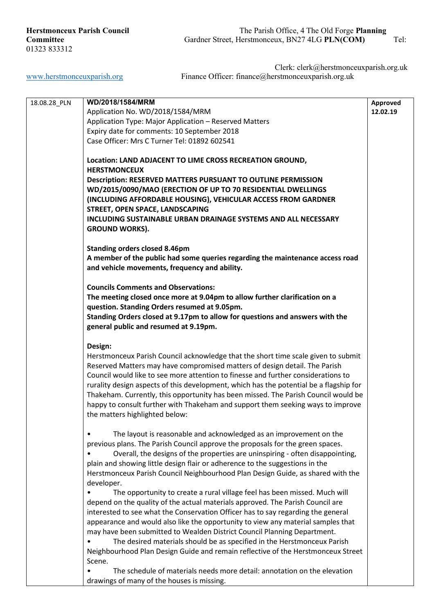| 18.08.28_PLN | WD/2018/1584/MRM                                                                                                      | Approved |
|--------------|-----------------------------------------------------------------------------------------------------------------------|----------|
|              | Application No. WD/2018/1584/MRM                                                                                      | 12.02.19 |
|              | Application Type: Major Application - Reserved Matters                                                                |          |
|              | Expiry date for comments: 10 September 2018                                                                           |          |
|              | Case Officer: Mrs C Turner Tel: 01892 602541                                                                          |          |
|              |                                                                                                                       |          |
|              | Location: LAND ADJACENT TO LIME CROSS RECREATION GROUND,                                                              |          |
|              | <b>HERSTMONCEUX</b>                                                                                                   |          |
|              | <b>Description: RESERVED MATTERS PURSUANT TO OUTLINE PERMISSION</b>                                                   |          |
|              | WD/2015/0090/MAO (ERECTION OF UP TO 70 RESIDENTIAL DWELLINGS                                                          |          |
|              | (INCLUDING AFFORDABLE HOUSING), VEHICULAR ACCESS FROM GARDNER                                                         |          |
|              | STREET, OPEN SPACE, LANDSCAPING                                                                                       |          |
|              | INCLUDING SUSTAINABLE URBAN DRAINAGE SYSTEMS AND ALL NECESSARY                                                        |          |
|              | <b>GROUND WORKS).</b>                                                                                                 |          |
|              |                                                                                                                       |          |
|              | <b>Standing orders closed 8.46pm</b><br>A member of the public had some queries regarding the maintenance access road |          |
|              |                                                                                                                       |          |
|              | and vehicle movements, frequency and ability.                                                                         |          |
|              | <b>Councils Comments and Observations:</b>                                                                            |          |
|              | The meeting closed once more at 9.04pm to allow further clarification on a                                            |          |
|              | question. Standing Orders resumed at 9.05pm.                                                                          |          |
|              | Standing Orders closed at 9.17pm to allow for questions and answers with the                                          |          |
|              | general public and resumed at 9.19pm.                                                                                 |          |
|              |                                                                                                                       |          |
|              | Design:                                                                                                               |          |
|              | Herstmonceux Parish Council acknowledge that the short time scale given to submit                                     |          |
|              | Reserved Matters may have compromised matters of design detail. The Parish                                            |          |
|              | Council would like to see more attention to finesse and further considerations to                                     |          |
|              | rurality design aspects of this development, which has the potential be a flagship for                                |          |
|              | Thakeham. Currently, this opportunity has been missed. The Parish Council would be                                    |          |
|              | happy to consult further with Thakeham and support them seeking ways to improve                                       |          |
|              | the matters highlighted below:                                                                                        |          |
|              |                                                                                                                       |          |
|              | The layout is reasonable and acknowledged as an improvement on the                                                    |          |
|              | previous plans. The Parish Council approve the proposals for the green spaces.                                        |          |
|              | Overall, the designs of the properties are uninspiring - often disappointing,                                         |          |
|              | plain and showing little design flair or adherence to the suggestions in the                                          |          |
|              | Herstmonceux Parish Council Neighbourhood Plan Design Guide, as shared with the<br>developer.                         |          |
|              | The opportunity to create a rural village feel has been missed. Much will                                             |          |
|              | depend on the quality of the actual materials approved. The Parish Council are                                        |          |
|              | interested to see what the Conservation Officer has to say regarding the general                                      |          |
|              | appearance and would also like the opportunity to view any material samples that                                      |          |
|              | may have been submitted to Wealden District Council Planning Department.                                              |          |
|              | The desired materials should be as specified in the Herstmonceux Parish                                               |          |
|              | Neighbourhood Plan Design Guide and remain reflective of the Herstmonceux Street                                      |          |
|              | Scene.                                                                                                                |          |
|              | The schedule of materials needs more detail: annotation on the elevation                                              |          |
|              | drawings of many of the houses is missing.                                                                            |          |
|              |                                                                                                                       |          |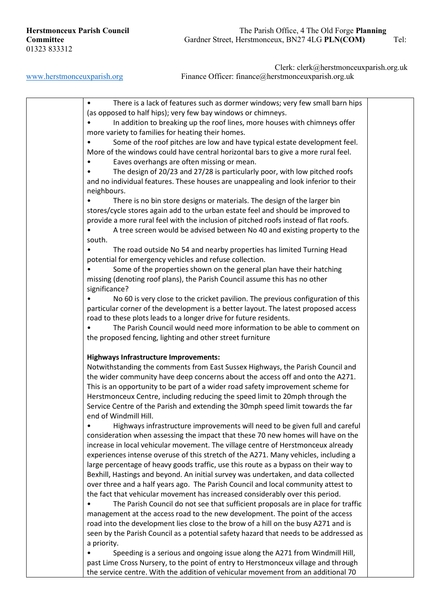• There is a lack of features such as dormer windows; very few small barn hips (as opposed to half hips); very few bay windows or chimneys. In addition to breaking up the roof lines, more houses with chimneys offer more variety to families for heating their homes. Some of the roof pitches are low and have typical estate development feel. More of the windows could have central horizontal bars to give a more rural feel. Eaves overhangs are often missing or mean. • The design of 20/23 and 27/28 is particularly poor, with low pitched roofs and no individual features. These houses are unappealing and look inferior to their neighbours. • There is no bin store designs or materials. The design of the larger bin stores/cycle stores again add to the urban estate feel and should be improved to provide a more rural feel with the inclusion of pitched roofs instead of flat roofs. • A tree screen would be advised between No 40 and existing property to the south. • The road outside No 54 and nearby properties has limited Turning Head potential for emergency vehicles and refuse collection. Some of the properties shown on the general plan have their hatching missing (denoting roof plans), the Parish Council assume this has no other significance? • No 60 is very close to the cricket pavilion. The previous configuration of this particular corner of the development is a better layout. The latest proposed access road to these plots leads to a longer drive for future residents. • The Parish Council would need more information to be able to comment on the proposed fencing, lighting and other street furniture **Highways Infrastructure Improvements:** Notwithstanding the comments from East Sussex Highways, the Parish Council and the wider community have deep concerns about the access off and onto the A271. This is an opportunity to be part of a wider road safety improvement scheme for Herstmonceux Centre, including reducing the speed limit to 20mph through the Service Centre of the Parish and extending the 30mph speed limit towards the far end of Windmill Hill. • Highways infrastructure improvements will need to be given full and careful consideration when assessing the impact that these 70 new homes will have on the increase in local vehicular movement. The village centre of Herstmonceux already experiences intense overuse of this stretch of the A271. Many vehicles, including a large percentage of heavy goods traffic, use this route as a bypass on their way to Bexhill, Hastings and beyond. An initial survey was undertaken, and data collected over three and a half years ago. The Parish Council and local community attest to the fact that vehicular movement has increased considerably over this period. • The Parish Council do not see that sufficient proposals are in place for traffic management at the access road to the new development. The point of the access road into the development lies close to the brow of a hill on the busy A271 and is seen by the Parish Council as a potential safety hazard that needs to be addressed as a priority. • Speeding is a serious and ongoing issue along the A271 from Windmill Hill, past Lime Cross Nursery, to the point of entry to Herstmonceux village and through the service centre. With the addition of vehicular movement from an additional 70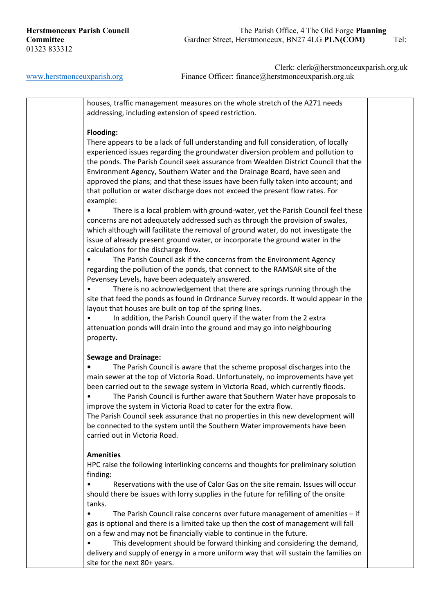Clerk: clerk@herstmonceuxparish.org.uk [www.herstmonceuxparish.org](http://www.herstmonceuxparish.org/) Finance Officer: finance achieves using uk

> houses, traffic management measures on the whole stretch of the A271 needs addressing, including extension of speed restriction.

### **Flooding:**

There appears to be a lack of full understanding and full consideration, of locally experienced issues regarding the groundwater diversion problem and pollution to the ponds. The Parish Council seek assurance from Wealden District Council that the Environment Agency, Southern Water and the Drainage Board, have seen and approved the plans; and that these issues have been fully taken into account; and that pollution or water discharge does not exceed the present flow rates. For example:

There is a local problem with ground-water, yet the Parish Council feel these concerns are not adequately addressed such as through the provision of swales, which although will facilitate the removal of ground water, do not investigate the issue of already present ground water, or incorporate the ground water in the calculations for the discharge flow.

The Parish Council ask if the concerns from the Environment Agency regarding the pollution of the ponds, that connect to the RAMSAR site of the Pevensey Levels, have been adequately answered.

There is no acknowledgement that there are springs running through the site that feed the ponds as found in Ordnance Survey records. It would appear in the layout that houses are built on top of the spring lines.

In addition, the Parish Council query if the water from the 2 extra attenuation ponds will drain into the ground and may go into neighbouring property.

### **Sewage and Drainage:**

**•** The Parish Council is aware that the scheme proposal discharges into the main sewer at the top of Victoria Road. Unfortunately, no improvements have yet been carried out to the sewage system in Victoria Road, which currently floods.

• The Parish Council is further aware that Southern Water have proposals to improve the system in Victoria Road to cater for the extra flow.

The Parish Council seek assurance that no properties in this new development will be connected to the system until the Southern Water improvements have been carried out in Victoria Road.

#### **Amenities**

HPC raise the following interlinking concerns and thoughts for preliminary solution finding:

• Reservations with the use of Calor Gas on the site remain. Issues will occur should there be issues with lorry supplies in the future for refilling of the onsite tanks.

• The Parish Council raise concerns over future management of amenities – if gas is optional and there is a limited take up then the cost of management will fall on a few and may not be financially viable to continue in the future.

• This development should be forward thinking and considering the demand, delivery and supply of energy in a more uniform way that will sustain the families on site for the next 80+ years.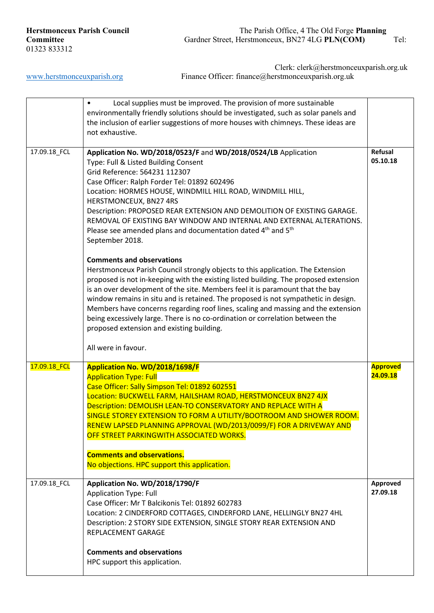| <b>Herstmonceux Parish Council</b> |  |
|------------------------------------|--|
| Committee                          |  |
| 01323 833312                       |  |

|              | Local supplies must be improved. The provision of more sustainable<br>$\bullet$<br>environmentally friendly solutions should be investigated, such as solar panels and<br>the inclusion of earlier suggestions of more houses with chimneys. These ideas are<br>not exhaustive.                                                                                                                                                                                                                                                                                                                                                                                                                                                                                                                                                                                                                                                                                                                                                                                                                                                                                                |                             |
|--------------|--------------------------------------------------------------------------------------------------------------------------------------------------------------------------------------------------------------------------------------------------------------------------------------------------------------------------------------------------------------------------------------------------------------------------------------------------------------------------------------------------------------------------------------------------------------------------------------------------------------------------------------------------------------------------------------------------------------------------------------------------------------------------------------------------------------------------------------------------------------------------------------------------------------------------------------------------------------------------------------------------------------------------------------------------------------------------------------------------------------------------------------------------------------------------------|-----------------------------|
| 17.09.18_FCL | Application No. WD/2018/0523/F and WD/2018/0524/LB Application<br>Type: Full & Listed Building Consent<br>Grid Reference: 564231 112307<br>Case Officer: Ralph Forder Tel: 01892 602496<br>Location: HORMES HOUSE, WINDMILL HILL ROAD, WINDMILL HILL,<br>HERSTMONCEUX, BN27 4RS<br>Description: PROPOSED REAR EXTENSION AND DEMOLITION OF EXISTING GARAGE.<br>REMOVAL OF EXISTING BAY WINDOW AND INTERNAL AND EXTERNAL ALTERATIONS.<br>Please see amended plans and documentation dated 4 <sup>th</sup> and 5 <sup>th</sup><br>September 2018.<br><b>Comments and observations</b><br>Herstmonceux Parish Council strongly objects to this application. The Extension<br>proposed is not in-keeping with the existing listed building. The proposed extension<br>is an over development of the site. Members feel it is paramount that the bay<br>window remains in situ and is retained. The proposed is not sympathetic in design.<br>Members have concerns regarding roof lines, scaling and massing and the extension<br>being excessively large. There is no co-ordination or correlation between the<br>proposed extension and existing building.<br>All were in favour. | Refusal<br>05.10.18         |
| 17.09.18 FCL | Application No. WD/2018/1698/F<br><b>Application Type: Full</b><br>Case Officer: Sally Simpson Tel: 01892 602551<br>Location: BUCKWELL FARM, HAILSHAM ROAD, HERSTMONCEUX BN27 4JX<br>Description: DEMOLISH LEAN-TO CONSERVATORY AND REPLACE WITH A<br>SINGLE STOREY EXTENSION TO FORM A UTILITY/BOOTROOM AND SHOWER ROOM.<br>RENEW LAPSED PLANNING APPROVAL (WD/2013/0099/F) FOR A DRIVEWAY AND<br>OFF STREET PARKINGWITH ASSOCIATED WORKS.<br><b>Comments and observations.</b><br>No objections. HPC support this application.                                                                                                                                                                                                                                                                                                                                                                                                                                                                                                                                                                                                                                               | <b>Approved</b><br>24.09.18 |
| 17.09.18_FCL | Application No. WD/2018/1790/F<br><b>Application Type: Full</b><br>Case Officer: Mr T Balcikonis Tel: 01892 602783<br>Location: 2 CINDERFORD COTTAGES, CINDERFORD LANE, HELLINGLY BN27 4HL<br>Description: 2 STORY SIDE EXTENSION, SINGLE STORY REAR EXTENSION AND<br>REPLACEMENT GARAGE<br><b>Comments and observations</b>                                                                                                                                                                                                                                                                                                                                                                                                                                                                                                                                                                                                                                                                                                                                                                                                                                                   | Approved<br>27.09.18        |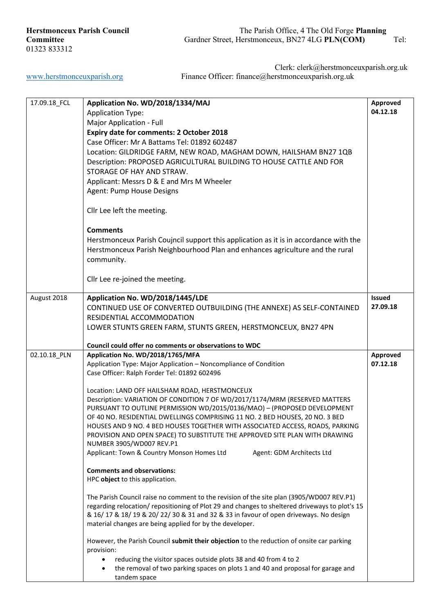| 17.09.18_FCL | Application No. WD/2018/1334/MAJ                                                              | Approved      |
|--------------|-----------------------------------------------------------------------------------------------|---------------|
|              | <b>Application Type:</b>                                                                      | 04.12.18      |
|              |                                                                                               |               |
|              | Major Application - Full                                                                      |               |
|              | Expiry date for comments: 2 October 2018                                                      |               |
|              | Case Officer: Mr A Battams Tel: 01892 602487                                                  |               |
|              |                                                                                               |               |
|              | Location: GILDRIDGE FARM, NEW ROAD, MAGHAM DOWN, HAILSHAM BN27 1QB                            |               |
|              | Description: PROPOSED AGRICULTURAL BUILDING TO HOUSE CATTLE AND FOR                           |               |
|              | STORAGE OF HAY AND STRAW.                                                                     |               |
|              | Applicant: Messrs D & E and Mrs M Wheeler                                                     |               |
|              |                                                                                               |               |
|              | Agent: Pump House Designs                                                                     |               |
|              |                                                                                               |               |
|              | Cllr Lee left the meeting.                                                                    |               |
|              |                                                                                               |               |
|              |                                                                                               |               |
|              | <b>Comments</b>                                                                               |               |
|              | Herstmonceux Parish Coujncil support this application as it is in accordance with the         |               |
|              |                                                                                               |               |
|              | Herstmonceux Parish Neighbourhood Plan and enhances agriculture and the rural                 |               |
|              | community.                                                                                    |               |
|              |                                                                                               |               |
|              |                                                                                               |               |
|              | Cllr Lee re-joined the meeting.                                                               |               |
|              |                                                                                               |               |
| August 2018  | Application No. WD/2018/1445/LDE                                                              | <b>Issued</b> |
|              | CONTINUED USE OF CONVERTED OUTBUILDING (THE ANNEXE) AS SELF-CONTAINED                         | 27.09.18      |
|              |                                                                                               |               |
|              | RESIDENTIAL ACCOMMODATION                                                                     |               |
|              | LOWER STUNTS GREEN FARM, STUNTS GREEN, HERSTMONCEUX, BN27 4PN                                 |               |
|              |                                                                                               |               |
|              | Council could offer no comments or observations to WDC                                        |               |
| 02.10.18_PLN | Application No. WD/2018/1765/MFA                                                              | Approved      |
|              |                                                                                               |               |
|              | Application Type: Major Application - Noncompliance of Condition                              | 07.12.18      |
|              | Case Officer: Ralph Forder Tel: 01892 602496                                                  |               |
|              |                                                                                               |               |
|              | Location: LAND OFF HAILSHAM ROAD, HERSTMONCEUX                                                |               |
|              | Description: VARIATION OF CONDITION 7 OF WD/2017/1174/MRM (RESERVED MATTERS                   |               |
|              | PURSUANT TO OUTLINE PERMISSION WD/2015/0136/MAO) - (PROPOSED DEVELOPMENT                      |               |
|              |                                                                                               |               |
|              | OF 40 NO. RESIDENTIAL DWELLINGS COMPRISING 11 NO. 2 BED HOUSES, 20 NO. 3 BED                  |               |
|              | HOUSES AND 9 NO. 4 BED HOUSES TOGETHER WITH ASSOCIATED ACCESS, ROADS, PARKING                 |               |
|              | PROVISION AND OPEN SPACE) TO SUBSTITUTE THE APPROVED SITE PLAN WITH DRAWING                   |               |
|              | NUMBER 3905/WD007 REV.P1                                                                      |               |
|              | Applicant: Town & Country Monson Homes Ltd<br>Agent: GDM Architects Ltd                       |               |
|              |                                                                                               |               |
|              |                                                                                               |               |
|              | <b>Comments and observations:</b>                                                             |               |
|              | HPC object to this application.                                                               |               |
|              |                                                                                               |               |
|              | The Parish Council raise no comment to the revision of the site plan (3905/WD007 REV.P1)      |               |
|              | regarding relocation/repositioning of Plot 29 and changes to sheltered driveways to plot's 15 |               |
|              | & 16/ 17 & 18/ 19 & 20/ 22/ 30 & 31 and 32 & 33 in favour of open driveways. No design        |               |
|              |                                                                                               |               |
|              | material changes are being applied for by the developer.                                      |               |
|              |                                                                                               |               |
|              | However, the Parish Council submit their objection to the reduction of onsite car parking     |               |
|              | provision:                                                                                    |               |
|              | reducing the visitor spaces outside plots 38 and 40 from 4 to 2                               |               |
|              | the removal of two parking spaces on plots 1 and 40 and proposal for garage and               |               |
|              |                                                                                               |               |
|              | tandem space                                                                                  |               |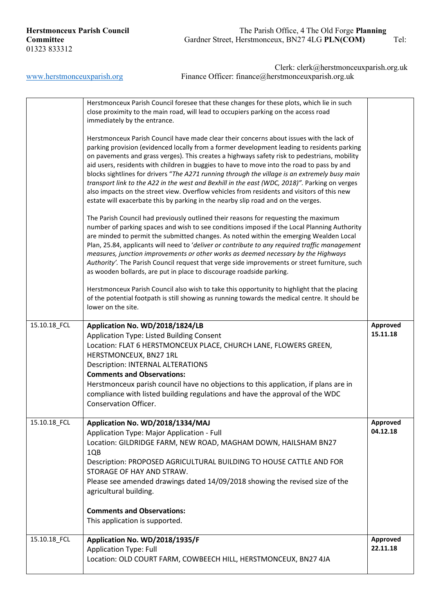# **Herstmonceux Parish Council** The Parish Office, 4 The Old Forge **Planning**<br> **Committee** *Gardner Street, Herstmonceux, BN27 4LG PLN(COM)* Gardner Street, Herstmonceux, BN27 4LG **PLN(COM)** Tel:

|              | Herstmonceux Parish Council foresee that these changes for these plots, which lie in such<br>close proximity to the main road, will lead to occupiers parking on the access road<br>immediately by the entrance.                                                                                                                                                                                                                                                                                                                                                                                                                                                                                                                                                           |                             |
|--------------|----------------------------------------------------------------------------------------------------------------------------------------------------------------------------------------------------------------------------------------------------------------------------------------------------------------------------------------------------------------------------------------------------------------------------------------------------------------------------------------------------------------------------------------------------------------------------------------------------------------------------------------------------------------------------------------------------------------------------------------------------------------------------|-----------------------------|
|              | Herstmonceux Parish Council have made clear their concerns about issues with the lack of<br>parking provision (evidenced locally from a former development leading to residents parking<br>on pavements and grass verges). This creates a highways safety risk to pedestrians, mobility<br>aid users, residents with children in buggies to have to move into the road to pass by and<br>blocks sightlines for drivers "The A271 running through the village is an extremely busy main<br>transport link to the A22 in the west and Bexhill in the east (WDC, 2018)". Parking on verges<br>also impacts on the street view. Overflow vehicles from residents and visitors of this new<br>estate will exacerbate this by parking in the nearby slip road and on the verges. |                             |
|              | The Parish Council had previously outlined their reasons for requesting the maximum<br>number of parking spaces and wish to see conditions imposed if the Local Planning Authority<br>are minded to permit the submitted changes. As noted within the emerging Wealden Local<br>Plan, 25.84, applicants will need to 'deliver or contribute to any required traffic management<br>measures, junction improvements or other works as deemed necessary by the Highways<br>Authority'. The Parish Council request that verge side improvements or street furniture, such<br>as wooden bollards, are put in place to discourage roadside parking.                                                                                                                              |                             |
|              | Herstmonceux Parish Council also wish to take this opportunity to highlight that the placing<br>of the potential footpath is still showing as running towards the medical centre. It should be<br>lower on the site.                                                                                                                                                                                                                                                                                                                                                                                                                                                                                                                                                       |                             |
| 15.10.18_FCL | Application No. WD/2018/1824/LB<br>Application Type: Listed Building Consent<br>Location: FLAT 6 HERSTMONCEUX PLACE, CHURCH LANE, FLOWERS GREEN,<br>HERSTMONCEUX, BN27 1RL<br><b>Description: INTERNAL ALTERATIONS</b><br><b>Comments and Observations:</b><br>Herstmonceux parish council have no objections to this application, if plans are in<br>compliance with listed building regulations and have the approval of the WDC<br>Conservation Officer.                                                                                                                                                                                                                                                                                                                | <b>Approved</b><br>15.11.18 |
| 15.10.18_FCL | Application No. WD/2018/1334/MAJ<br>Application Type: Major Application - Full<br>Location: GILDRIDGE FARM, NEW ROAD, MAGHAM DOWN, HAILSHAM BN27<br>1QB<br>Description: PROPOSED AGRICULTURAL BUILDING TO HOUSE CATTLE AND FOR<br>STORAGE OF HAY AND STRAW.<br>Please see amended drawings dated 14/09/2018 showing the revised size of the<br>agricultural building.<br><b>Comments and Observations:</b><br>This application is supported.                                                                                                                                                                                                                                                                                                                               | Approved<br>04.12.18        |
| 15.10.18_FCL | Application No. WD/2018/1935/F<br><b>Application Type: Full</b><br>Location: OLD COURT FARM, COWBEECH HILL, HERSTMONCEUX, BN27 4JA                                                                                                                                                                                                                                                                                                                                                                                                                                                                                                                                                                                                                                         | Approved<br>22.11.18        |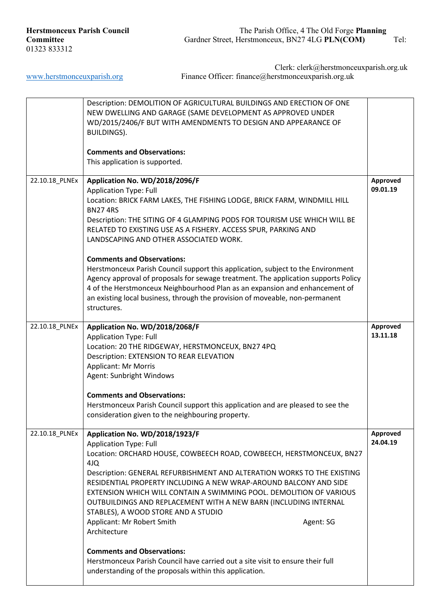|                | Description: DEMOLITION OF AGRICULTURAL BUILDINGS AND ERECTION OF ONE<br>NEW DWELLING AND GARAGE (SAME DEVELOPMENT AS APPROVED UNDER<br>WD/2015/2406/F BUT WITH AMENDMENTS TO DESIGN AND APPEARANCE OF<br><b>BUILDINGS).</b><br><b>Comments and Observations:</b><br>This application is supported.                                                                                                                                                                                                                                                                                                                                                                                                                                                |                      |
|----------------|----------------------------------------------------------------------------------------------------------------------------------------------------------------------------------------------------------------------------------------------------------------------------------------------------------------------------------------------------------------------------------------------------------------------------------------------------------------------------------------------------------------------------------------------------------------------------------------------------------------------------------------------------------------------------------------------------------------------------------------------------|----------------------|
| 22.10.18_PLNEx | Application No. WD/2018/2096/F<br><b>Application Type: Full</b><br>Location: BRICK FARM LAKES, THE FISHING LODGE, BRICK FARM, WINDMILL HILL<br><b>BN274RS</b><br>Description: THE SITING OF 4 GLAMPING PODS FOR TOURISM USE WHICH WILL BE<br>RELATED TO EXISTING USE AS A FISHERY. ACCESS SPUR, PARKING AND<br>LANDSCAPING AND OTHER ASSOCIATED WORK.<br><b>Comments and Observations:</b><br>Herstmonceux Parish Council support this application, subject to the Environment<br>Agency approval of proposals for sewage treatment. The application supports Policy<br>4 of the Herstmonceux Neighbourhood Plan as an expansion and enhancement of<br>an existing local business, through the provision of moveable, non-permanent<br>structures. | Approved<br>09.01.19 |
| 22.10.18_PLNEx | Application No. WD/2018/2068/F<br><b>Application Type: Full</b><br>Location: 20 THE RIDGEWAY, HERSTMONCEUX, BN27 4PQ<br>Description: EXTENSION TO REAR ELEVATION<br><b>Applicant: Mr Morris</b><br>Agent: Sunbright Windows<br><b>Comments and Observations:</b><br>Herstmonceux Parish Council support this application and are pleased to see the<br>consideration given to the neighbouring property.                                                                                                                                                                                                                                                                                                                                           | Approved<br>13.11.18 |
| 22.10.18_PLNEx | Application No. WD/2018/1923/F<br><b>Application Type: Full</b><br>Location: ORCHARD HOUSE, COWBEECH ROAD, COWBEECH, HERSTMONCEUX, BN27<br>4JQ<br>Description: GENERAL REFURBISHMENT AND ALTERATION WORKS TO THE EXISTING<br>RESIDENTIAL PROPERTY INCLUDING A NEW WRAP-AROUND BALCONY AND SIDE<br>EXTENSION WHICH WILL CONTAIN A SWIMMING POOL. DEMOLITION OF VARIOUS<br>OUTBUILDINGS AND REPLACEMENT WITH A NEW BARN (INCLUDING INTERNAL<br>STABLES), A WOOD STORE AND A STUDIO<br>Applicant: Mr Robert Smith<br>Agent: SG<br>Architecture<br><b>Comments and Observations:</b><br>Herstmonceux Parish Council have carried out a site visit to ensure their full<br>understanding of the proposals within this application.                      | Approved<br>24.04.19 |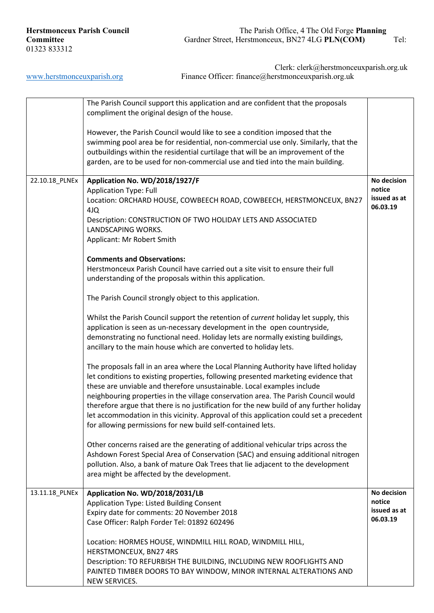|                | The Parish Council support this application and are confident that the proposals<br>compliment the original design of the house.                                              |                        |
|----------------|-------------------------------------------------------------------------------------------------------------------------------------------------------------------------------|------------------------|
|                | However, the Parish Council would like to see a condition imposed that the                                                                                                    |                        |
|                | swimming pool area be for residential, non-commercial use only. Similarly, that the<br>outbuildings within the residential curtilage that will be an improvement of the       |                        |
|                | garden, are to be used for non-commercial use and tied into the main building.                                                                                                |                        |
|                |                                                                                                                                                                               |                        |
| 22.10.18_PLNEx | Application No. WD/2018/1927/F                                                                                                                                                | No decision            |
|                | <b>Application Type: Full</b>                                                                                                                                                 | notice<br>issued as at |
|                | Location: ORCHARD HOUSE, COWBEECH ROAD, COWBEECH, HERSTMONCEUX, BN27<br>4JQ                                                                                                   | 06.03.19               |
|                | Description: CONSTRUCTION OF TWO HOLIDAY LETS AND ASSOCIATED                                                                                                                  |                        |
|                | LANDSCAPING WORKS.                                                                                                                                                            |                        |
|                | Applicant: Mr Robert Smith                                                                                                                                                    |                        |
|                | <b>Comments and Observations:</b>                                                                                                                                             |                        |
|                | Herstmonceux Parish Council have carried out a site visit to ensure their full                                                                                                |                        |
|                | understanding of the proposals within this application.                                                                                                                       |                        |
|                | The Parish Council strongly object to this application.                                                                                                                       |                        |
|                | Whilst the Parish Council support the retention of current holiday let supply, this                                                                                           |                        |
|                | application is seen as un-necessary development in the open countryside,                                                                                                      |                        |
|                | demonstrating no functional need. Holiday lets are normally existing buildings,                                                                                               |                        |
|                | ancillary to the main house which are converted to holiday lets.                                                                                                              |                        |
|                | The proposals fall in an area where the Local Planning Authority have lifted holiday                                                                                          |                        |
|                | let conditions to existing properties, following presented marketing evidence that                                                                                            |                        |
|                | these are unviable and therefore unsustainable. Local examples include                                                                                                        |                        |
|                | neighbouring properties in the village conservation area. The Parish Council would<br>therefore argue that there is no justification for the new build of any further holiday |                        |
|                | let accommodation in this vicinity. Approval of this application could set a precedent                                                                                        |                        |
|                | for allowing permissions for new build self-contained lets.                                                                                                                   |                        |
|                | Other concerns raised are the generating of additional vehicular trips across the                                                                                             |                        |
|                | Ashdown Forest Special Area of Conservation (SAC) and ensuing additional nitrogen                                                                                             |                        |
|                | pollution. Also, a bank of mature Oak Trees that lie adjacent to the development                                                                                              |                        |
|                | area might be affected by the development.                                                                                                                                    |                        |
| 13.11.18_PLNEx | Application No. WD/2018/2031/LB                                                                                                                                               | No decision            |
|                | Application Type: Listed Building Consent                                                                                                                                     | notice                 |
|                | Expiry date for comments: 20 November 2018                                                                                                                                    | issued as at           |
|                | Case Officer: Ralph Forder Tel: 01892 602496                                                                                                                                  | 06.03.19               |
|                | Location: HORMES HOUSE, WINDMILL HILL ROAD, WINDMILL HILL,                                                                                                                    |                        |
|                | HERSTMONCEUX, BN27 4RS                                                                                                                                                        |                        |
|                | Description: TO REFURBISH THE BUILDING, INCLUDING NEW ROOFLIGHTS AND                                                                                                          |                        |
|                | PAINTED TIMBER DOORS TO BAY WINDOW, MINOR INTERNAL ALTERATIONS AND<br>NEW SERVICES.                                                                                           |                        |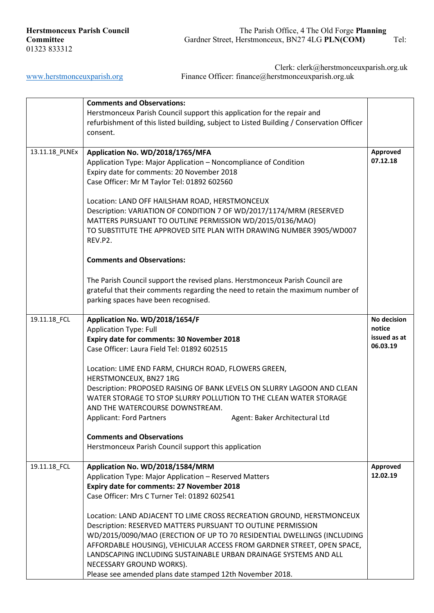|                | <b>Comments and Observations:</b>                                                        |              |
|----------------|------------------------------------------------------------------------------------------|--------------|
|                | Herstmonceux Parish Council support this application for the repair and                  |              |
|                | refurbishment of this listed building, subject to Listed Building / Conservation Officer |              |
|                | consent.                                                                                 |              |
|                |                                                                                          |              |
| 13.11.18_PLNEx | Application No. WD/2018/1765/MFA                                                         | Approved     |
|                | Application Type: Major Application - Noncompliance of Condition                         | 07.12.18     |
|                |                                                                                          |              |
|                | Expiry date for comments: 20 November 2018                                               |              |
|                | Case Officer: Mr M Taylor Tel: 01892 602560                                              |              |
|                | Location: LAND OFF HAILSHAM ROAD, HERSTMONCEUX                                           |              |
|                | Description: VARIATION OF CONDITION 7 OF WD/2017/1174/MRM (RESERVED                      |              |
|                | MATTERS PURSUANT TO OUTLINE PERMISSION WD/2015/0136/MAO)                                 |              |
|                |                                                                                          |              |
|                | TO SUBSTITUTE THE APPROVED SITE PLAN WITH DRAWING NUMBER 3905/WD007                      |              |
|                | REV.P2.                                                                                  |              |
|                | <b>Comments and Observations:</b>                                                        |              |
|                | The Parish Council support the revised plans. Herstmonceux Parish Council are            |              |
|                | grateful that their comments regarding the need to retain the maximum number of          |              |
|                | parking spaces have been recognised.                                                     |              |
|                |                                                                                          |              |
|                |                                                                                          |              |
| 19.11.18_FCL   | Application No. WD/2018/1654/F                                                           | No decision  |
|                | <b>Application Type: Full</b>                                                            | notice       |
|                | Expiry date for comments: 30 November 2018                                               | issued as at |
|                | Case Officer: Laura Field Tel: 01892 602515                                              | 06.03.19     |
|                | Location: LIME END FARM, CHURCH ROAD, FLOWERS GREEN,                                     |              |
|                | HERSTMONCEUX, BN27 1RG                                                                   |              |
|                | Description: PROPOSED RAISING OF BANK LEVELS ON SLURRY LAGOON AND CLEAN                  |              |
|                |                                                                                          |              |
|                |                                                                                          |              |
|                | WATER STORAGE TO STOP SLURRY POLLUTION TO THE CLEAN WATER STORAGE                        |              |
|                | AND THE WATERCOURSE DOWNSTREAM.                                                          |              |
|                | <b>Applicant: Ford Partners</b><br>Agent: Baker Architectural Ltd                        |              |
|                | <b>Comments and Observations</b>                                                         |              |
|                | Herstmonceux Parish Council support this application                                     |              |
|                |                                                                                          |              |
| 19.11.18_FCL   | Application No. WD/2018/1584/MRM                                                         | Approved     |
|                | Application Type: Major Application - Reserved Matters                                   | 12.02.19     |
|                | Expiry date for comments: 27 November 2018                                               |              |
|                | Case Officer: Mrs C Turner Tel: 01892 602541                                             |              |
|                | Location: LAND ADJACENT TO LIME CROSS RECREATION GROUND, HERSTMONCEUX                    |              |
|                |                                                                                          |              |
|                | Description: RESERVED MATTERS PURSUANT TO OUTLINE PERMISSION                             |              |
|                | WD/2015/0090/MAO (ERECTION OF UP TO 70 RESIDENTIAL DWELLINGS (INCLUDING                  |              |
|                | AFFORDABLE HOUSING), VEHICULAR ACCESS FROM GARDNER STREET, OPEN SPACE,                   |              |
|                | LANDSCAPING INCLUDING SUSTAINABLE URBAN DRAINAGE SYSTEMS AND ALL                         |              |
|                | NECESSARY GROUND WORKS).<br>Please see amended plans date stamped 12th November 2018.    |              |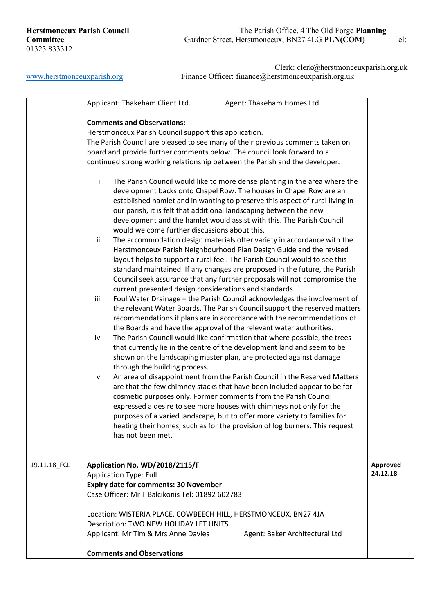|              | Applicant: Thakeham Client Ltd.<br>Agent: Thakeham Homes Ltd<br><b>Comments and Observations:</b><br>Herstmonceux Parish Council support this application.<br>The Parish Council are pleased to see many of their previous comments taken on<br>board and provide further comments below. The council look forward to a<br>continued strong working relationship between the Parish and the developer.<br>The Parish Council would like to more dense planting in the area where the<br>j.<br>development backs onto Chapel Row. The houses in Chapel Row are an<br>established hamlet and in wanting to preserve this aspect of rural living in<br>our parish, it is felt that additional landscaping between the new<br>development and the hamlet would assist with this. The Parish Council<br>would welcome further discussions about this.<br>The accommodation design materials offer variety in accordance with the<br>ii<br>Herstmonceux Parish Neighbourhood Plan Design Guide and the revised<br>layout helps to support a rural feel. The Parish Council would to see this<br>standard maintained. If any changes are proposed in the future, the Parish<br>Council seek assurance that any further proposals will not compromise the<br>current presented design considerations and standards.<br>Foul Water Drainage - the Parish Council acknowledges the involvement of<br>iii<br>the relevant Water Boards. The Parish Council support the reserved matters<br>recommendations if plans are in accordance with the recommendations of<br>the Boards and have the approval of the relevant water authorities.<br>The Parish Council would like confirmation that where possible, the trees<br>iv<br>that currently lie in the centre of the development land and seem to be<br>shown on the landscaping master plan, are protected against damage<br>through the building process.<br>An area of disappointment from the Parish Council in the Reserved Matters<br>۷<br>are that the few chimney stacks that have been included appear to be for<br>cosmetic purposes only. Former comments from the Parish Council<br>expressed a desire to see more houses with chimneys not only for the<br>purposes of a varied landscape, but to offer more variety to families for<br>heating their homes, such as for the provision of log burners. This request<br>has not been met. |                      |
|--------------|----------------------------------------------------------------------------------------------------------------------------------------------------------------------------------------------------------------------------------------------------------------------------------------------------------------------------------------------------------------------------------------------------------------------------------------------------------------------------------------------------------------------------------------------------------------------------------------------------------------------------------------------------------------------------------------------------------------------------------------------------------------------------------------------------------------------------------------------------------------------------------------------------------------------------------------------------------------------------------------------------------------------------------------------------------------------------------------------------------------------------------------------------------------------------------------------------------------------------------------------------------------------------------------------------------------------------------------------------------------------------------------------------------------------------------------------------------------------------------------------------------------------------------------------------------------------------------------------------------------------------------------------------------------------------------------------------------------------------------------------------------------------------------------------------------------------------------------------------------------------------------------------------------------------------------------------------------------------------------------------------------------------------------------------------------------------------------------------------------------------------------------------------------------------------------------------------------------------------------------------------------------------------------------------------------------------------------------------------------------------------------------------|----------------------|
| 19.11.18_FCL | Application No. WD/2018/2115/F<br><b>Application Type: Full</b><br><b>Expiry date for comments: 30 November</b><br>Case Officer: Mr T Balcikonis Tel: 01892 602783<br>Location: WISTERIA PLACE, COWBEECH HILL, HERSTMONCEUX, BN27 4JA<br>Description: TWO NEW HOLIDAY LET UNITS                                                                                                                                                                                                                                                                                                                                                                                                                                                                                                                                                                                                                                                                                                                                                                                                                                                                                                                                                                                                                                                                                                                                                                                                                                                                                                                                                                                                                                                                                                                                                                                                                                                                                                                                                                                                                                                                                                                                                                                                                                                                                                              | Approved<br>24.12.18 |
|              | Applicant: Mr Tim & Mrs Anne Davies<br>Agent: Baker Architectural Ltd<br><b>Comments and Observations</b>                                                                                                                                                                                                                                                                                                                                                                                                                                                                                                                                                                                                                                                                                                                                                                                                                                                                                                                                                                                                                                                                                                                                                                                                                                                                                                                                                                                                                                                                                                                                                                                                                                                                                                                                                                                                                                                                                                                                                                                                                                                                                                                                                                                                                                                                                    |                      |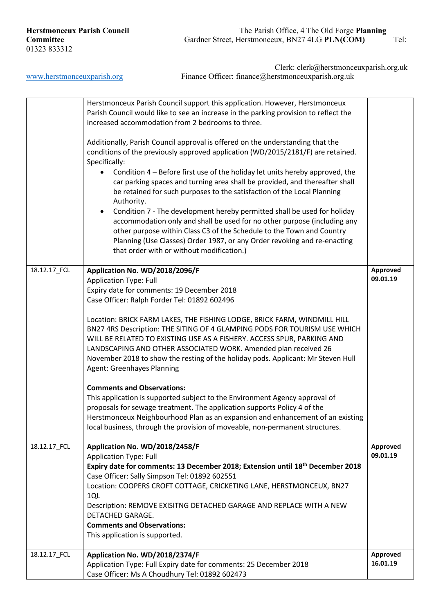|              | Herstmonceux Parish Council support this application. However, Herstmonceux                                                                                        |          |
|--------------|--------------------------------------------------------------------------------------------------------------------------------------------------------------------|----------|
|              | Parish Council would like to see an increase in the parking provision to reflect the                                                                               |          |
|              | increased accommodation from 2 bedrooms to three.                                                                                                                  |          |
|              |                                                                                                                                                                    |          |
|              | Additionally, Parish Council approval is offered on the understanding that the<br>conditions of the previously approved application (WD/2015/2181/F) are retained. |          |
|              | Specifically:                                                                                                                                                      |          |
|              | Condition 4 – Before first use of the holiday let units hereby approved, the<br>$\bullet$                                                                          |          |
|              | car parking spaces and turning area shall be provided, and thereafter shall                                                                                        |          |
|              | be retained for such purposes to the satisfaction of the Local Planning                                                                                            |          |
|              | Authority.                                                                                                                                                         |          |
|              | Condition 7 - The development hereby permitted shall be used for holiday<br>$\bullet$                                                                              |          |
|              | accommodation only and shall be used for no other purpose (including any                                                                                           |          |
|              | other purpose within Class C3 of the Schedule to the Town and Country                                                                                              |          |
|              | Planning (Use Classes) Order 1987, or any Order revoking and re-enacting                                                                                           |          |
|              | that order with or without modification.)                                                                                                                          |          |
|              |                                                                                                                                                                    |          |
| 18.12.17_FCL | Application No. WD/2018/2096/F                                                                                                                                     | Approved |
|              | <b>Application Type: Full</b>                                                                                                                                      | 09.01.19 |
|              | Expiry date for comments: 19 December 2018                                                                                                                         |          |
|              | Case Officer: Ralph Forder Tel: 01892 602496                                                                                                                       |          |
|              |                                                                                                                                                                    |          |
|              | Location: BRICK FARM LAKES, THE FISHING LODGE, BRICK FARM, WINDMILL HILL                                                                                           |          |
|              | BN27 4RS Description: THE SITING OF 4 GLAMPING PODS FOR TOURISM USE WHICH                                                                                          |          |
|              | WILL BE RELATED TO EXISTING USE AS A FISHERY. ACCESS SPUR, PARKING AND                                                                                             |          |
|              | LANDSCAPING AND OTHER ASSOCIATED WORK. Amended plan received 26<br>November 2018 to show the resting of the holiday pods. Applicant: Mr Steven Hull                |          |
|              | <b>Agent: Greenhayes Planning</b>                                                                                                                                  |          |
|              |                                                                                                                                                                    |          |
|              | <b>Comments and Observations:</b>                                                                                                                                  |          |
|              | This application is supported subject to the Environment Agency approval of                                                                                        |          |
|              | proposals for sewage treatment. The application supports Policy 4 of the                                                                                           |          |
|              | Herstmonceux Neighbourhood Plan as an expansion and enhancement of an existing                                                                                     |          |
|              | local business, through the provision of moveable, non-permanent structures.                                                                                       |          |
|              |                                                                                                                                                                    |          |
| 18.12.17_FCL | Application No. WD/2018/2458/F                                                                                                                                     | Approved |
|              | <b>Application Type: Full</b>                                                                                                                                      | 09.01.19 |
|              | Expiry date for comments: 13 December 2018; Extension until 18th December 2018                                                                                     |          |
|              | Case Officer: Sally Simpson Tel: 01892 602551                                                                                                                      |          |
|              | Location: COOPERS CROFT COTTAGE, CRICKETING LANE, HERSTMONCEUX, BN27                                                                                               |          |
|              | 1QL                                                                                                                                                                |          |
|              | Description: REMOVE EXISITNG DETACHED GARAGE AND REPLACE WITH A NEW<br>DETACHED GARAGE.                                                                            |          |
|              | <b>Comments and Observations:</b>                                                                                                                                  |          |
|              | This application is supported.                                                                                                                                     |          |
|              |                                                                                                                                                                    |          |
| 18.12.17_FCL | Application No. WD/2018/2374/F                                                                                                                                     | Approved |
|              | Application Type: Full Expiry date for comments: 25 December 2018                                                                                                  | 16.01.19 |
|              | Case Officer: Ms A Choudhury Tel: 01892 602473                                                                                                                     |          |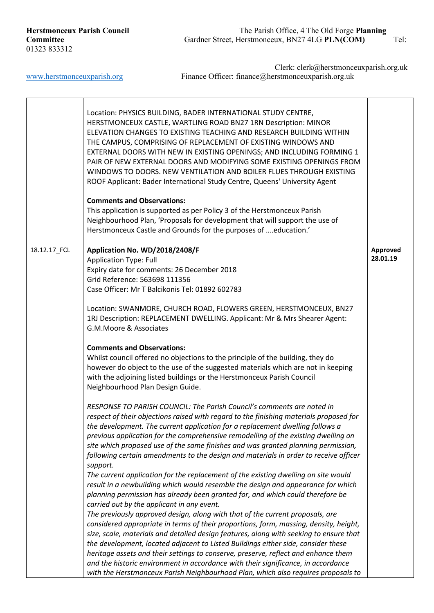j.

|              | Location: PHYSICS BUILDING, BADER INTERNATIONAL STUDY CENTRE,<br>HERSTMONCEUX CASTLE, WARTLING ROAD BN27 1RN Description: MINOR<br>ELEVATION CHANGES TO EXISTING TEACHING AND RESEARCH BUILDING WITHIN<br>THE CAMPUS, COMPRISING OF REPLACEMENT OF EXISTING WINDOWS AND<br>EXTERNAL DOORS WITH NEW IN EXISTING OPENINGS; AND INCLUDING FORMING 1<br>PAIR OF NEW EXTERNAL DOORS AND MODIFYING SOME EXISTING OPENINGS FROM<br>WINDOWS TO DOORS. NEW VENTILATION AND BOILER FLUES THROUGH EXISTING<br>ROOF Applicant: Bader International Study Centre, Queens' University Agent<br><b>Comments and Observations:</b><br>This application is supported as per Policy 3 of the Herstmonceux Parish<br>Neighbourhood Plan, 'Proposals for development that will support the use of<br>Herstmonceux Castle and Grounds for the purposes of education.' |                      |
|--------------|--------------------------------------------------------------------------------------------------------------------------------------------------------------------------------------------------------------------------------------------------------------------------------------------------------------------------------------------------------------------------------------------------------------------------------------------------------------------------------------------------------------------------------------------------------------------------------------------------------------------------------------------------------------------------------------------------------------------------------------------------------------------------------------------------------------------------------------------------|----------------------|
| 18.12.17_FCL | Application No. WD/2018/2408/F<br><b>Application Type: Full</b><br>Expiry date for comments: 26 December 2018<br>Grid Reference: 563698 111356<br>Case Officer: Mr T Balcikonis Tel: 01892 602783<br>Location: SWANMORE, CHURCH ROAD, FLOWERS GREEN, HERSTMONCEUX, BN27                                                                                                                                                                                                                                                                                                                                                                                                                                                                                                                                                                          | Approved<br>28.01.19 |
|              | 1RJ Description: REPLACEMENT DWELLING. Applicant: Mr & Mrs Shearer Agent:<br>G.M.Moore & Associates<br><b>Comments and Observations:</b><br>Whilst council offered no objections to the principle of the building, they do<br>however do object to the use of the suggested materials which are not in keeping<br>with the adjoining listed buildings or the Herstmonceux Parish Council<br>Neighbourhood Plan Design Guide.                                                                                                                                                                                                                                                                                                                                                                                                                     |                      |
|              | RESPONSE TO PARISH COUNCIL: The Parish Council's comments are noted in<br>respect of their objections raised with regard to the finishing materials proposed for<br>the development. The current application for a replacement dwelling follows a<br>previous application for the comprehensive remodelling of the existing dwelling on<br>site which proposed use of the same finishes and was granted planning permission,<br>following certain amendments to the design and materials in order to receive officer<br>support.<br>The current application for the replacement of the existing dwelling on site would<br>result in a newbuilding which would resemble the design and appearance for which                                                                                                                                       |                      |
|              | planning permission has already been granted for, and which could therefore be<br>carried out by the applicant in any event.<br>The previously approved design, along with that of the current proposals, are<br>considered appropriate in terms of their proportions, form, massing, density, height,<br>size, scale, materials and detailed design features, along with seeking to ensure that<br>the development, located adjacent to Listed Buildings either side, consider these<br>heritage assets and their settings to conserve, preserve, reflect and enhance them<br>and the historic environment in accordance with their significance, in accordance<br>with the Herstmonceux Parish Neighbourhood Plan, which also requires proposals to                                                                                            |                      |